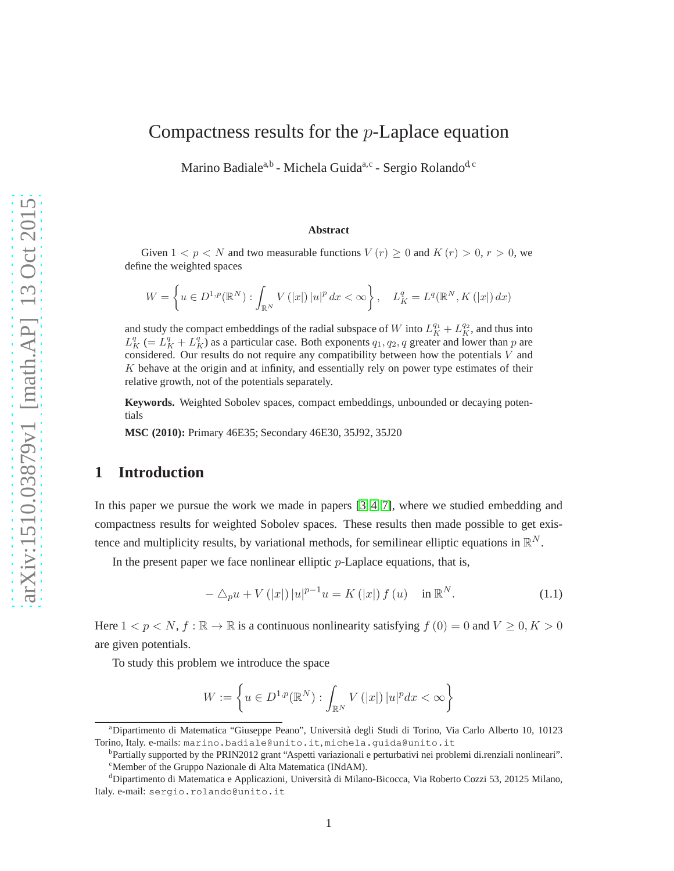# Compactness results for the p-Laplace equation

Marino Badiale<sup>a,b</sup> - Michela Guida<sup>a,c</sup> - Sergio Rolando<sup>d, c</sup>

### **Abstract**

Given  $1 < p < N$  and two measurable functions  $V(r) \ge 0$  and  $K(r) > 0, r > 0$ , we define the weighted spaces

$$
W = \left\{ u \in D^{1,p}(\mathbb{R}^N) : \int_{\mathbb{R}^N} V(|x|) |u|^p dx < \infty \right\}, \quad L_K^q = L^q(\mathbb{R}^N, K(|x|) dx)
$$

and study the compact embeddings of the radial subspace of W into  $L_K^{q_1} + L_K^{q_2}$ , and thus into  $L_K^q (= L_K^q + L_K^q)$  as a particular case. Both exponents  $q_1, q_2, q$  greater and lower than p are considered. Our results do not require any compatibility between how the potentials  $V$  and  $K$  behave at the origin and at infinity, and essentially rely on power type estimates of their relative growth, not of the potentials separately.

**Keywords.** Weighted Sobolev spaces, compact embeddings, unbounded or decaying potentials

**MSC (2010):** Primary 46E35; Secondary 46E30, 35J92, 35J20

# **1 Introduction**

In this paper we pursue the work we made in papers [\[3,](#page-29-0) [4,](#page-29-1) [7\]](#page-30-0), where we studied embedding and compactness results for weighted Sobolev spaces. These results then made possible to get existence and multiplicity results, by variational methods, for semilinear elliptic equations in  $\mathbb{R}^N$ .

In the present paper we face nonlinear elliptic  $p$ -Laplace equations, that is,

<span id="page-0-0"></span>
$$
-\triangle_{p}u + V(|x|)|u|^{p-1}u = K(|x|) f(u) \quad \text{in } \mathbb{R}^{N}.
$$
 (1.1)

Here  $1 < p < N$ ,  $f : \mathbb{R} \to \mathbb{R}$  is a continuous nonlinearity satisfying  $f(0) = 0$  and  $V \ge 0, K > 0$ are given potentials.

To study this problem we introduce the space

$$
W := \left\{ u \in D^{1,p}(\mathbb{R}^N) : \int_{\mathbb{R}^N} V(|x|) |u|^p dx < \infty \right\}
$$

<sup>&</sup>lt;sup>a</sup>Dipartimento di Matematica "Giuseppe Peano", Università degli Studi di Torino, Via Carlo Alberto 10, 10123 Torino, Italy. e-mails: marino.badiale@unito.it, michela.guida@unito.it

b Partially supported by the PRIN2012 grant "Aspetti variazionali e perturbativi nei problemi di.renziali nonlineari". <sup>c</sup>Member of the Gruppo Nazionale di Alta Matematica (INdAM).

<sup>&</sup>lt;sup>d</sup>Dipartimento di Matematica e Applicazioni, Università di Milano-Bicocca, Via Roberto Cozzi 53, 20125 Milano, Italy. e-mail: sergio.rolando@unito.it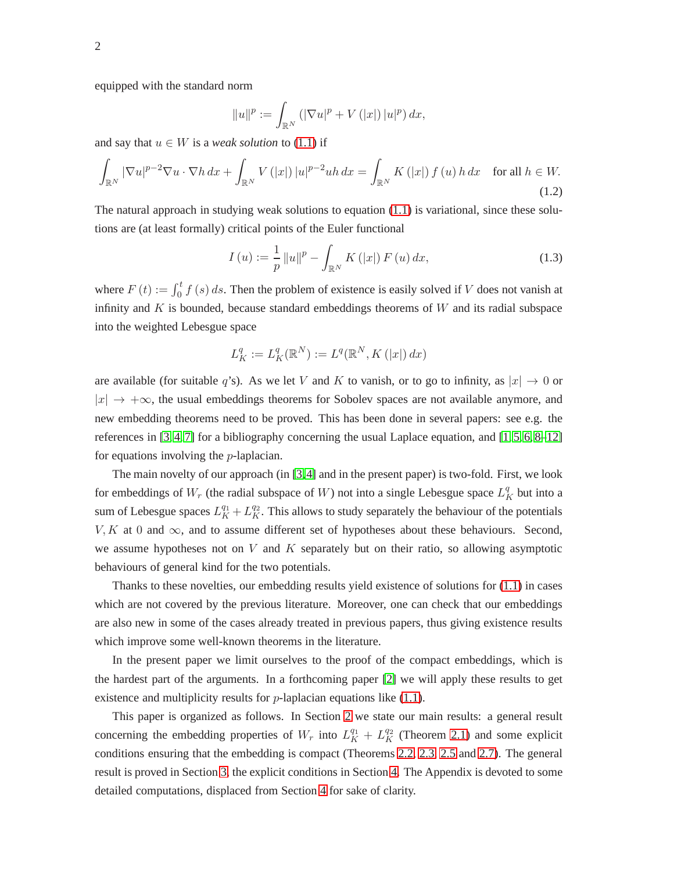equipped with the standard norm

$$
||u||^{p} := \int_{\mathbb{R}^{N}} (|\nabla u|^{p} + V(|x|) |u|^{p}) dx,
$$

and say that  $u \in W$  is a *weak solution* to [\(1.1\)](#page-0-0) if

$$
\int_{\mathbb{R}^N} |\nabla u|^{p-2} \nabla u \cdot \nabla h \, dx + \int_{\mathbb{R}^N} V(|x|) |u|^{p-2} uh \, dx = \int_{\mathbb{R}^N} K(|x|) f(u) h \, dx \quad \text{for all } h \in W.
$$
\n(1.2)

The natural approach in studying weak solutions to equation  $(1.1)$  is variational, since these solutions are (at least formally) critical points of the Euler functional

$$
I(u) := \frac{1}{p} ||u||^{p} - \int_{\mathbb{R}^{N}} K(|x|) F(u) dx,
$$
\n(1.3)

where  $F(t) := \int_0^t f(s) ds$ . Then the problem of existence is easily solved if V does not vanish at infinity and  $K$  is bounded, because standard embeddings theorems of  $W$  and its radial subspace into the weighted Lebesgue space

$$
L_K^q:=L_K^q(\mathbb{R}^N):=L^q(\mathbb{R}^N,K\left(|x|\right)dx)
$$

are available (for suitable q's). As we let V and K to vanish, or to go to infinity, as  $|x| \to 0$  or  $|x| \to +\infty$ , the usual embeddings theorems for Sobolev spaces are not available anymore, and new embedding theorems need to be proved. This has been done in several papers: see e.g. the references in  $[3, 4, 7]$  $[3, 4, 7]$  $[3, 4, 7]$  for a bibliography concerning the usual Laplace equation, and  $[1, 5, 6, 8-12]$  $[1, 5, 6, 8-12]$  $[1, 5, 6, 8-12]$  $[1, 5, 6, 8-12]$  $[1, 5, 6, 8-12]$ for equations involving the p-laplacian.

The main novelty of our approach (in [\[3,](#page-29-0)[4\]](#page-29-1) and in the present paper) is two-fold. First, we look for embeddings of  $W_r$  (the radial subspace of W) not into a single Lebesgue space  $L_K^q$  but into a sum of Lebesgue spaces  $L_K^{q_1} + L_K^{q_2}$ . This allows to study separately the behaviour of the potentials  $V, K$  at 0 and  $\infty$ , and to assume different set of hypotheses about these behaviours. Second, we assume hypotheses not on  $V$  and  $K$  separately but on their ratio, so allowing asymptotic behaviours of general kind for the two potentials.

Thanks to these novelties, our embedding results yield existence of solutions for [\(1.1\)](#page-0-0) in cases which are not covered by the previous literature. Moreover, one can check that our embeddings are also new in some of the cases already treated in previous papers, thus giving existence results which improve some well-known theorems in the literature.

In the present paper we limit ourselves to the proof of the compact embeddings, which is the hardest part of the arguments. In a forthcoming paper [\[2\]](#page-29-4) we will apply these results to get existence and multiplicity results for  $p$ -laplacian equations like [\(1.1\)](#page-0-0).

This paper is organized as follows. In Section [2](#page-2-0) we state our main results: a general result concerning the embedding properties of  $W_r$  into  $L_K^{q_1} + L_K^{q_2}$  (Theorem [2.1\)](#page-3-0) and some explicit conditions ensuring that the embedding is compact (Theorems [2.2,](#page-4-0) [2.3,](#page-4-1) [2.5](#page-5-0) and [2.7\)](#page-8-0). The general result is proved in Section [3,](#page-9-0) the explicit conditions in Section [4.](#page-13-0) The Appendix is devoted to some detailed computations, displaced from Section [4](#page-13-0) for sake of clarity.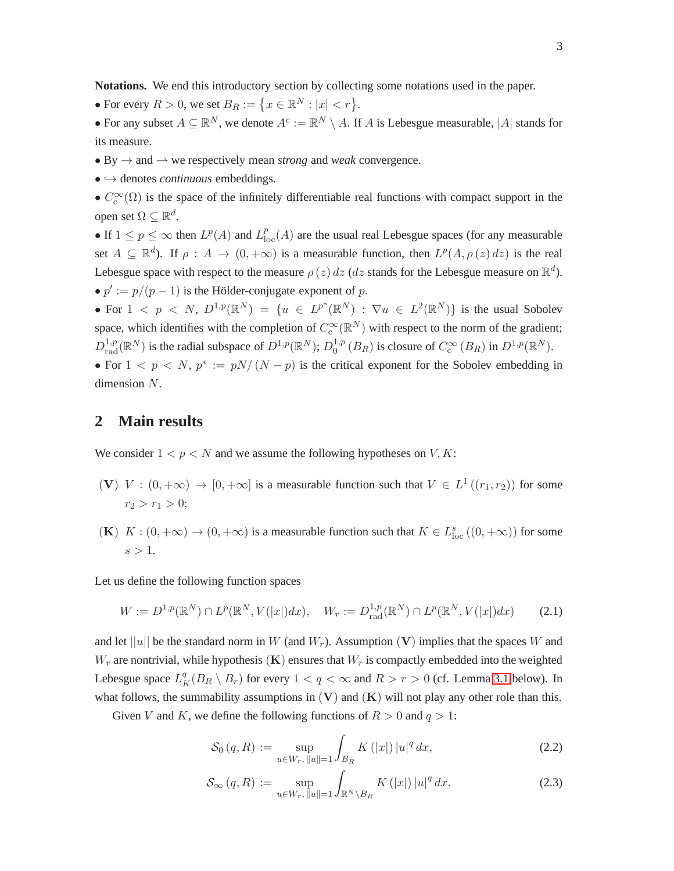**Notations.** We end this introductory section by collecting some notations used in the paper.

- For every  $R > 0$ , we set  $B_R := \{x \in \mathbb{R}^N : |x| < r\}.$
- For any subset  $A \subseteq \mathbb{R}^N$ , we denote  $A^c := \mathbb{R}^N \setminus A$ . If A is Lebesgue measurable, |A| stands for its measure.
- By  $\rightarrow$  and  $\rightarrow$  we respectively mean *strong* and *weak* convergence.
- ֒→ denotes *continuous* embeddings.
- $C_c^{\infty}(\Omega)$  is the space of the infinitely differentiable real functions with compact support in the open set  $\Omega \subseteq \mathbb{R}^d$ .

• If  $1 \le p \le \infty$  then  $L^p(A)$  and  $L^p_{loc}(A)$  are the usual real Lebesgue spaces (for any measurable set  $A \subseteq \mathbb{R}^d$ ). If  $\rho : A \to (0, +\infty)$  is a measurable function, then  $L^p(A, \rho(z) dz)$  is the real Lebesgue space with respect to the measure  $\rho(z) dz$  (dz stands for the Lebesgue measure on  $\mathbb{R}^d$ ). •  $p' := p/(p-1)$  is the Hölder-conjugate exponent of p.

• For  $1 \leq p \leq N$ ,  $D^{1,p}(\mathbb{R}^N) = \{u \in L^{p^*}(\mathbb{R}^N) : \nabla u \in L^2(\mathbb{R}^N)\}\$ is the usual Sobolev space, which identifies with the completion of  $C_c^{\infty}(\mathbb{R}^N)$  with respect to the norm of the gradient;  $D_{\text{rad}}^{1,p}(\mathbb{R}^N)$  is the radial subspace of  $D^{1,p}(\mathbb{R}^N)$ ;  $D_0^{1,p}$  $_{0}^{1,p}(B_{R})$  is closure of  $C_{c}^{\infty}(B_{R})$  in  $D^{1,p}(\mathbb{R}^{N})$ .

• For  $1 \le p \le N$ ,  $p^* := pN/(N-p)$  is the critical exponent for the Sobolev embedding in dimension N.

### <span id="page-2-0"></span>**2 Main results**

We consider  $1 < p < N$  and we assume the following hypotheses on  $V, K$ :

- (V)  $V : (0, +\infty) \to [0, +\infty]$  is a measurable function such that  $V \in L^1((r_1, r_2))$  for some  $r_2 > r_1 > 0$ ;
- (K)  $K : (0, +\infty) \to (0, +\infty)$  is a measurable function such that  $K \in L_{loc}^{s}((0, +\infty))$  for some  $s > 1$ .

Let us define the following function spaces

<span id="page-2-1"></span>
$$
W := D^{1,p}(\mathbb{R}^N) \cap L^p(\mathbb{R}^N, V(|x|)dx), \quad W_r := D^{1,p}_{\text{rad}}(\mathbb{R}^N) \cap L^p(\mathbb{R}^N, V(|x|)dx) \tag{2.1}
$$

and let  $||u||$  be the standard norm in W (and  $W_r$ ). Assumption (V) implies that the spaces W and  $W_r$  are nontrivial, while hypothesis  $(K)$  ensures that  $W_r$  is compactly embedded into the weighted Lebesgue space  $L_K^q(B_R \setminus B_r)$  for every  $1 < q < \infty$  and  $R > r > 0$  (cf. Lemma [3.1](#page-9-1) below). In what follows, the summability assumptions in  $(V)$  and  $(K)$  will not play any other role than this.

Given V and K, we define the following functions of  $R > 0$  and  $q > 1$ :

<span id="page-2-2"></span>
$$
S_0(q, R) := \sup_{u \in W_r, ||u|| = 1} \int_{B_R} K(|x|) |u|^q dx,
$$
\n(2.2)

$$
\mathcal{S}_{\infty}(q, R) := \sup_{u \in W_r, ||u|| = 1} \int_{\mathbb{R}^N \backslash B_R} K(|x|) |u|^q dx.
$$
 (2.3)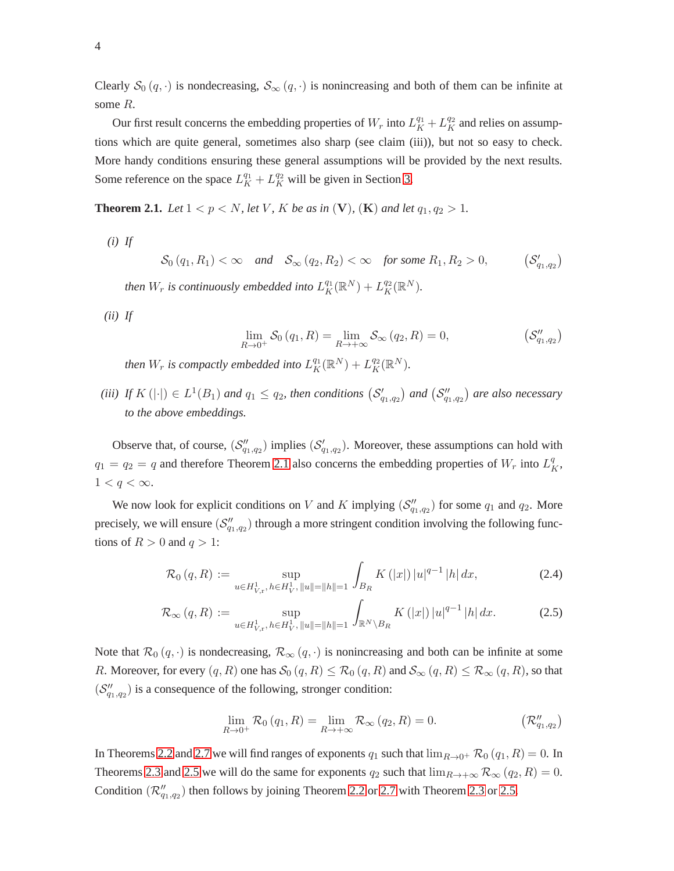Clearly  $S_0(q, \cdot)$  is nondecreasing,  $S_{\infty}(q, \cdot)$  is nonincreasing and both of them can be infinite at some R.

Our first result concerns the embedding properties of  $W_r$  into  $L_K^{q_1} + L_K^{q_2}$  and relies on assumptions which are quite general, sometimes also sharp (see claim (iii)), but not so easy to check. More handy conditions ensuring these general assumptions will be provided by the next results. Some reference on the space  $L_K^{q_1} + L_K^{q_2}$  will be given in Section [3.](#page-9-0)

<span id="page-3-0"></span>**Theorem 2.1.** *Let*  $1 < p < N$ *, let*  $V$ *, K be as in*  $(V)$ *,*  $(K)$  *and let*  $q_1, q_2 > 1$ *.* 

*(i) If*

 $\mathcal{S}_0(q_1, R_1) < \infty$  and  $\mathcal{S}_{\infty}(q_2, R_2) < \infty$  for some  $R_1, R_2 > 0$ ,  $(\mathcal{S}_{q_1,q_2}')$ *then*  $W_r$  *is continuously embedded into*  $L_K^{q_1}(\mathbb{R}^N) + L_K^{q_2}(\mathbb{R}^N)$ .

*(ii) If*

$$
\lim_{R \to 0^+} \mathcal{S}_0(q_1, R) = \lim_{R \to +\infty} \mathcal{S}_\infty(q_2, R) = 0, \qquad (\mathcal{S}_{q_1, q_2}^{\prime\prime})
$$

*then*  $W_r$  *is compactly embedded into*  $L_K^{q_1}(\mathbb{R}^N) + L_K^{q_2}(\mathbb{R}^N)$ .

(*iii*) If  $K(|\cdot|) \in L^1(B_1)$  and  $q_1 \leq q_2$ , then conditions  $(\mathcal{S}'_{q_1,q_2})$  and  $(\mathcal{S}''_{q_1,q_2})$  are also necessary *to the above embeddings.*

Observe that, of course,  $(S''_{q_1,q_2})$  implies  $(S'_{q_1,q_2})$ . Moreover, these assumptions can hold with  $q_1 = q_2 = q$  and therefore Theorem [2.1](#page-3-0) also concerns the embedding properties of  $W_r$  into  $L_K^q$ ,  $1 < q < \infty$ .

We now look for explicit conditions on V and K implying  $(\mathcal{S}_{q_1,q_2}^{\prime\prime})$  for some  $q_1$  and  $q_2$ . More precisely, we will ensure  $(S''_{q_1,q_2})$  through a more stringent condition involving the following functions of  $R > 0$  and  $q > 1$ :

<span id="page-3-1"></span>
$$
\mathcal{R}_0(q, R) := \sup_{u \in H^1_{V, r}, h \in H^1_V, \|u\| = \|h\| = 1} \int_{B_R} K(|x|) |u|^{q-1} |h| dx,
$$
\n(2.4)

$$
\mathcal{R}_{\infty}(q, R) := \sup_{u \in H^1_{V, r}, h \in H^1_V, \|u\| = \|h\| = 1} \int_{\mathbb{R}^N \backslash B_R} K(|x|) |u|^{q-1} |h| dx.
$$
 (2.5)

Note that  $\mathcal{R}_0(q, \cdot)$  is nondecreasing,  $\mathcal{R}_{\infty}(q, \cdot)$  is nonincreasing and both can be infinite at some R. Moreover, for every  $(q, R)$  one has  $\mathcal{S}_0(q, R) \leq \mathcal{R}_0(q, R)$  and  $\mathcal{S}_{\infty}(q, R) \leq \mathcal{R}_{\infty}(q, R)$ , so that  $(S''_{q_1,q_2})$  is a consequence of the following, stronger condition:

$$
\lim_{R \to 0^{+}} \mathcal{R}_{0}(q_{1}, R) = \lim_{R \to +\infty} \mathcal{R}_{\infty}(q_{2}, R) = 0.
$$
 (R''<sub>q\_{1},q\_{2})</sub>

In Theorems [2.2](#page-4-0) and [2.7](#page-8-0) we will find ranges of exponents  $q_1$  such that  $\lim_{R\to 0^+} \mathcal{R}_0(q_1, R) = 0$ . In Theorems [2.3](#page-4-1) and [2.5](#page-5-0) we will do the same for exponents  $q_2$  such that  $\lim_{R\to+\infty} \mathcal{R}_{\infty}(q_2, R) = 0$ . Condition  $(\mathcal{R}_{q_1,q_2}^{"})$  then follows by joining Theorem [2.2](#page-4-0) or [2.7](#page-8-0) with Theorem [2.3](#page-4-1) or [2.5.](#page-5-0)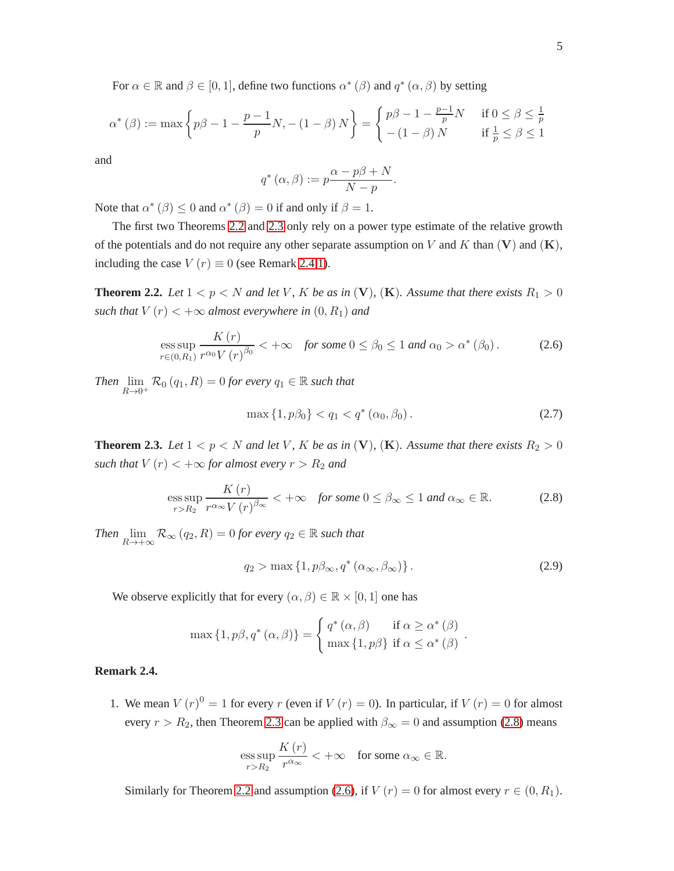For  $\alpha \in \mathbb{R}$  and  $\beta \in [0, 1]$ , define two functions  $\alpha^* (\beta)$  and  $q^* (\alpha, \beta)$  by setting

$$
\alpha^{\ast}(\beta) := \max\left\{p\beta - 1 - \frac{p-1}{p}N, -(1-\beta)N\right\} = \begin{cases}p\beta - 1 - \frac{p-1}{p}N & \text{if } 0 \le \beta \le \frac{1}{p} \\ -(1-\beta)N & \text{if } \frac{1}{p} \le \beta \le 1\end{cases}
$$

and

$$
q^*(\alpha, \beta) := p \frac{\alpha - p\beta + N}{N - p}.
$$

Note that  $\alpha^*$  ( $\beta$ )  $\leq$  0 and  $\alpha^*$  ( $\beta$ ) = 0 if and only if  $\beta$  = 1.

The first two Theorems [2.2](#page-4-0) and [2.3](#page-4-1) only rely on a power type estimate of the relative growth of the potentials and do not require any other separate assumption on V and K than  $(V)$  and  $(K)$ , including the case  $V(r) \equiv 0$  (see Remark [2.4.](#page-4-2)[1\)](#page-4-3).

<span id="page-4-0"></span>**Theorem 2.2.** Let  $1 < p < N$  and let V, K be as in (V), (K). Assume that there exists  $R_1 > 0$ *such that*  $V(r) < +\infty$  *almost everywhere in*  $(0, R_1)$  *and* 

<span id="page-4-5"></span>
$$
\underset{r\in(0,R_1)}{\text{ess sup}}\frac{K\left(r\right)}{r^{\alpha_0}V\left(r\right)^{\beta_0}}<+\infty\quad\text{for some }0\leq\beta_0\leq 1\text{ and }\alpha_0>\alpha^*\left(\beta_0\right). \tag{2.6}
$$

*Then*  $\lim_{R\to 0^+} \mathcal{R}_0(q_1, R) = 0$  *for every*  $q_1 \in \mathbb{R}$  *such that* 

<span id="page-4-6"></span>
$$
\max\{1, p\beta_0\} < q_1 < q^*\left(\alpha_0, \beta_0\right). \tag{2.7}
$$

<span id="page-4-1"></span>**Theorem 2.3.** Let  $1 < p < N$  and let V, K be as in (V), (K). Assume that there exists  $R_2 > 0$ *such that*  $V(r) < +\infty$  *for almost every*  $r > R_2$  *and* 

<span id="page-4-4"></span>
$$
\underset{r>R_2}{\operatorname{ess\,sup}}\frac{K\left(r\right)}{r^{\alpha_{\infty}}V\left(r\right)^{\beta_{\infty}}} < +\infty \quad \text{for some } 0 \leq \beta_{\infty} \leq 1 \text{ and } \alpha_{\infty} \in \mathbb{R}.\tag{2.8}
$$

*Then*  $\lim_{R\to+\infty} \mathcal{R}_{\infty}(q_2, R) = 0$  *for every*  $q_2 \in \mathbb{R}$  *such that* 

$$
q_2 > \max\left\{1, p\beta_\infty, q^*(\alpha_\infty, \beta_\infty)\right\}.
$$
 (2.9)

.

We observe explicitly that for every  $(\alpha, \beta) \in \mathbb{R} \times [0, 1]$  one has

$$
\max\left\{1, p\beta, q^*(\alpha, \beta)\right\} = \begin{cases} q^*(\alpha, \beta) & \text{if } \alpha \ge \alpha^*(\beta) \\ \max\left\{1, p\beta\right\} & \text{if } \alpha \le \alpha^*(\beta) \end{cases}
$$

### <span id="page-4-3"></span><span id="page-4-2"></span>**Remark 2.4.**

1. We mean  $V(r)^0 = 1$  for every r (even if  $V(r) = 0$ ). In particular, if  $V(r) = 0$  for almost every  $r > R_2$ , then Theorem [2.3](#page-4-1) can be applied with  $\beta_{\infty} = 0$  and assumption [\(2.8\)](#page-4-4) means

$$
\underset{r>R_2}{\operatorname{ess\,sup}}\frac{K(r)}{r^{\alpha_{\infty}}} < +\infty \quad \text{for some } \alpha_{\infty} \in \mathbb{R}.
$$

Similarly for Theorem [2.2](#page-4-0) and assumption [\(2.6\)](#page-4-5), if  $V(r) = 0$  for almost every  $r \in (0, R_1)$ .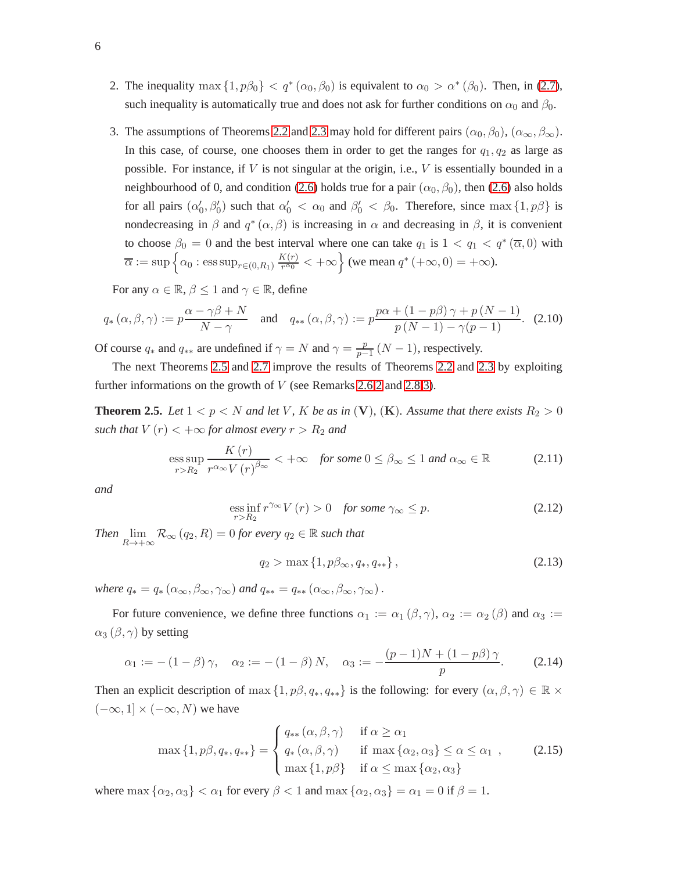- 2. The inequality max  $\{1, p\beta_0\} < q^*(\alpha_0, \beta_0)$  is equivalent to  $\alpha_0 > \alpha^*(\beta_0)$ . Then, in [\(2.7\)](#page-4-6), such inequality is automatically true and does not ask for further conditions on  $\alpha_0$  and  $\beta_0$ .
- 3. The assumptions of Theorems [2.2](#page-4-0) and [2.3](#page-4-1) may hold for different pairs  $(\alpha_0, \beta_0)$ ,  $(\alpha_{\infty}, \beta_{\infty})$ . In this case, of course, one chooses them in order to get the ranges for  $q_1, q_2$  as large as possible. For instance, if  $V$  is not singular at the origin, i.e.,  $V$  is essentially bounded in a neighbourhood of 0, and condition [\(2.6\)](#page-4-5) holds true for a pair  $(\alpha_0, \beta_0)$ , then (2.6) also holds for all pairs  $(\alpha'_0, \beta'_0)$  such that  $\alpha'_0 < \alpha_0$  and  $\beta'_0 < \beta_0$ . Therefore, since  $\max\{1, p\beta\}$  is nondecreasing in  $\beta$  and  $q^*(\alpha, \beta)$  is increasing in  $\alpha$  and decreasing in  $\beta$ , it is convenient to choose  $\beta_0 = 0$  and the best interval where one can take  $q_1$  is  $1 < q_1 < q^*(\overline{\alpha}, 0)$  with  $\overline{\alpha} := \sup \Big\{ \alpha_0 : \operatorname{ess\,sup}_{r \in (0,R_1)} \frac{K(r)}{r^{\alpha_0}} \Big\}$  $\frac{K(r)}{r^{\alpha_0}} < +\infty$  (we mean  $q^*$  (+ $\infty$ , 0) = + $\infty$ ).

For any  $\alpha \in \mathbb{R}$ ,  $\beta \leq 1$  and  $\gamma \in \mathbb{R}$ , define

<span id="page-5-5"></span>
$$
q_* (\alpha, \beta, \gamma) := p \frac{\alpha - \gamma \beta + N}{N - \gamma} \quad \text{and} \quad q_{**} (\alpha, \beta, \gamma) := p \frac{p \alpha + (1 - p \beta) \gamma + p (N - 1)}{p (N - 1) - \gamma (p - 1)}.
$$
 (2.10)

Of course  $q_*$  and  $q_{**}$  are undefined if  $\gamma = N$  and  $\gamma = \frac{p}{p-1}$  $\frac{p}{p-1}(N-1)$ , respectively.

The next Theorems [2.5](#page-5-0) and [2.7](#page-8-0) improve the results of Theorems [2.2](#page-4-0) and [2.3](#page-4-1) by exploiting further informations on the growth of  $V$  (see Remarks [2.6.](#page-6-0)[2](#page-6-1) and [2.8.](#page-8-1)[3\)](#page-8-2).

<span id="page-5-0"></span>**Theorem 2.5.** Let  $1 < p < N$  and let V, K be as in (V), (K). Assume that there exists  $R_2 > 0$ *such that*  $V(r) < +\infty$  *for almost every*  $r > R_2$  *and* 

<span id="page-5-2"></span>
$$
\underset{r>R_2}{\text{ess sup}} \frac{K(r)}{r^{\alpha_{\infty}} V(r)^{\beta_{\infty}}} < +\infty \quad \text{for some } 0 \leq \beta_{\infty} \leq 1 \text{ and } \alpha_{\infty} \in \mathbb{R} \tag{2.11}
$$

*and*

<span id="page-5-1"></span>
$$
\underset{r>R_2}{\text{ess inf}}\, r^{\gamma_{\infty}}V(r) > 0 \quad \text{for some } \gamma_{\infty} \le p. \tag{2.12}
$$

*Then*  $\lim_{R\to+\infty} \mathcal{R}_{\infty}(q_2, R) = 0$  *for every*  $q_2 \in \mathbb{R}$  *such that* 

<span id="page-5-3"></span>
$$
q_2 > \max\{1, p\beta_{\infty}, q_*, q_{**}\},\tag{2.13}
$$

*where*  $q_* = q_* (\alpha_\infty, \beta_\infty, \gamma_\infty)$  *and*  $q_{**} = q_{**} (\alpha_\infty, \beta_\infty, \gamma_\infty)$ .

For future convenience, we define three functions  $\alpha_1 := \alpha_1(\beta, \gamma)$ ,  $\alpha_2 := \alpha_2(\beta)$  and  $\alpha_3 :=$  $\alpha_3 (\beta, \gamma)$  by setting

<span id="page-5-6"></span>
$$
\alpha_1 := -(1 - \beta)\gamma, \quad \alpha_2 := -(1 - \beta)N, \quad \alpha_3 := -\frac{(p - 1)N + (1 - p\beta)\gamma}{p}.
$$
 (2.14)

Then an explicit description of max  $\{1, p\beta, q_*, q_{**}\}\$  is the following: for every  $(\alpha, \beta, \gamma) \in \mathbb{R} \times$  $(-\infty, 1] \times (-\infty, N)$  we have

<span id="page-5-4"></span>
$$
\max\left\{1, p\beta, q_*, q_{**}\right\} = \begin{cases} q_{**}(\alpha, \beta, \gamma) & \text{if } \alpha \ge \alpha_1 \\ q_*(\alpha, \beta, \gamma) & \text{if } \max\left\{\alpha_2, \alpha_3\right\} \le \alpha \le \alpha_1 \\ \max\left\{1, p\beta\right\} & \text{if } \alpha \le \max\left\{\alpha_2, \alpha_3\right\} \end{cases} \tag{2.15}
$$

where max  $\{\alpha_2, \alpha_3\} < \alpha_1$  for every  $\beta < 1$  and max  $\{\alpha_2, \alpha_3\} = \alpha_1 = 0$  if  $\beta = 1$ .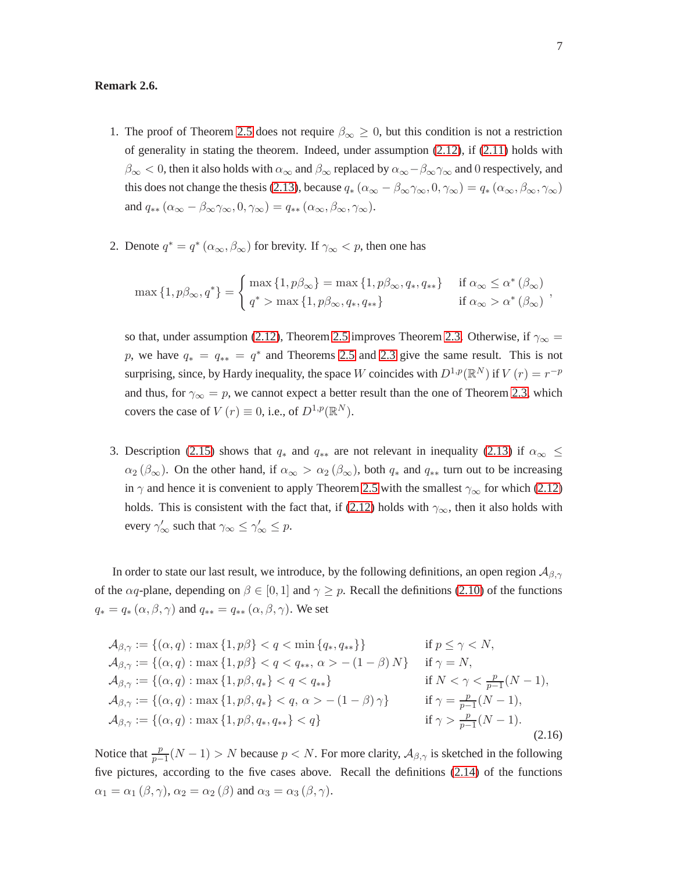#### <span id="page-6-2"></span><span id="page-6-0"></span>**Remark 2.6.**

- 1. The proof of Theorem [2.5](#page-5-0) does not require  $\beta_{\infty} \geq 0$ , but this condition is not a restriction of generality in stating the theorem. Indeed, under assumption  $(2.12)$ , if  $(2.11)$  holds with  $\beta_{\infty}$  < 0, then it also holds with  $\alpha_{\infty}$  and  $\beta_{\infty}$  replaced by  $\alpha_{\infty} - \beta_{\infty} \gamma_{\infty}$  and 0 respectively, and this does not change the thesis [\(2.13\)](#page-5-3), because  $q_*(\alpha_\infty - \beta_\infty \gamma_\infty, 0, \gamma_\infty) = q_*(\alpha_\infty, \beta_\infty, \gamma_\infty)$ and  $q_{**} (\alpha_{\infty} - \beta_{\infty} \gamma_{\infty}, 0, \gamma_{\infty}) = q_{**} (\alpha_{\infty}, \beta_{\infty}, \gamma_{\infty}).$
- <span id="page-6-1"></span>2. Denote  $q^* = q^* (\alpha_\infty, \beta_\infty)$  for brevity. If  $\gamma_\infty < p$ , then one has

$$
\max\left\{1, p\beta_{\infty}, q^*\right\} = \begin{cases} \max\left\{1, p\beta_{\infty}\right\} = \max\left\{1, p\beta_{\infty}, q_*, q_{**}\right\} & \text{if } \alpha_{\infty} \leq \alpha^*(\beta_{\infty}) \\ q^* > \max\left\{1, p\beta_{\infty}, q_*, q_{**}\right\} & \text{if } \alpha_{\infty} > \alpha^*(\beta_{\infty}) \end{cases}
$$

so that, under assumption [\(2.12\)](#page-5-1), Theorem [2.5](#page-5-0) improves Theorem [2.3.](#page-4-1) Otherwise, if  $\gamma_{\infty} =$ p, we have  $q_* = q_{**} = q^*$  and Theorems [2.5](#page-5-0) and [2.3](#page-4-1) give the same result. This is not surprising, since, by Hardy inequality, the space W coincides with  $D^{1,p}(\mathbb{R}^N)$  if  $V(r) = r^{-p}$ and thus, for  $\gamma_{\infty} = p$ , we cannot expect a better result than the one of Theorem [2.3,](#page-4-1) which covers the case of  $V(r) \equiv 0$ , i.e., of  $D^{1,p}(\mathbb{R}^N)$ .

3. Description [\(2.15\)](#page-5-4) shows that  $q_*$  and  $q_{**}$  are not relevant in inequality [\(2.13\)](#page-5-3) if  $\alpha_{\infty} \leq$  $\alpha_2$  ( $\beta_{\infty}$ ). On the other hand, if  $\alpha_{\infty} > \alpha_2$  ( $\beta_{\infty}$ ), both  $q_*$  and  $q_{**}$  turn out to be increasing in  $\gamma$  and hence it is convenient to apply Theorem [2.5](#page-5-0) with the smallest  $\gamma_{\infty}$  for which [\(2.12\)](#page-5-1) holds. This is consistent with the fact that, if [\(2.12\)](#page-5-1) holds with  $\gamma_{\infty}$ , then it also holds with every  $\gamma'_{\infty}$  such that  $\gamma_{\infty} \leq \gamma'_{\infty} \leq p$ .

In order to state our last result, we introduce, by the following definitions, an open region  $\mathcal{A}_{\beta,\gamma}$ of the  $\alpha q$ -plane, depending on  $\beta \in [0, 1]$  and  $\gamma \geq p$ . Recall the definitions [\(2.10\)](#page-5-5) of the functions  $q_* = q_* (\alpha, \beta, \gamma)$  and  $q_{**} = q_{**} (\alpha, \beta, \gamma)$ . We set

<span id="page-6-3"></span>
$$
\mathcal{A}_{\beta,\gamma} := \{(\alpha, q) : \max\{1, p\beta\} < q < \min\{q_*, q_{**}\}\} \qquad \text{if } p \leq \gamma < N,
$$
\n
$$
\mathcal{A}_{\beta,\gamma} := \{(\alpha, q) : \max\{1, p\beta\} < q < q_{**}, \alpha > -(1 - \beta)N\} \qquad \text{if } \gamma = N,
$$
\n
$$
\mathcal{A}_{\beta,\gamma} := \{(\alpha, q) : \max\{1, p\beta, q_*\} < q < q_{**}\} \qquad \text{if } N < \gamma < \frac{p}{p-1}(N-1),
$$
\n
$$
\mathcal{A}_{\beta,\gamma} := \{(\alpha, q) : \max\{1, p\beta, q_*\} < q, \alpha > -(1 - \beta)\gamma\} \qquad \text{if } \gamma = \frac{p}{p-1}(N-1),
$$
\n
$$
\mathcal{A}_{\beta,\gamma} := \{(\alpha, q) : \max\{1, p\beta, q_*, q_{**}\} < q\} \qquad \text{if } \gamma > \frac{p}{p-1}(N-1). \tag{2.16}
$$

Notice that  $\frac{p}{p-1}(N-1) > N$  because  $p < N$ . For more clarity,  $\mathcal{A}_{\beta,\gamma}$  is sketched in the following five pictures, according to the five cases above. Recall the definitions [\(2.14\)](#page-5-6) of the functions  $\alpha_1 = \alpha_1 (\beta, \gamma)$ ,  $\alpha_2 = \alpha_2 (\beta)$  and  $\alpha_3 = \alpha_3 (\beta, \gamma)$ .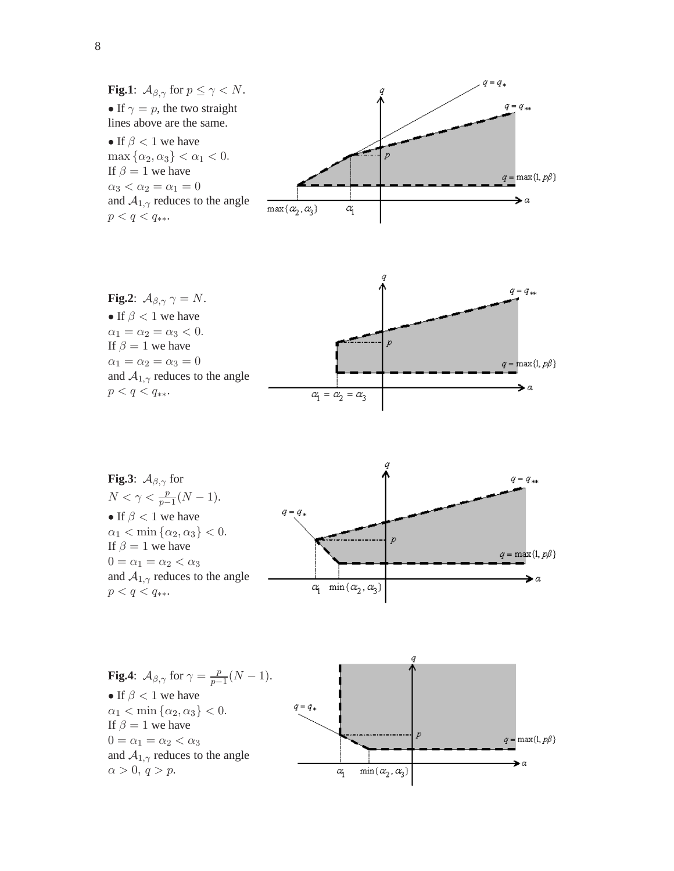

**Fig.3**:  $A_{\beta,\gamma}$  for  $q = q_{**}$  $N < \gamma < \frac{p}{p-1}(N-1).$  $q=q_{\ast}$ • If  $\beta$  < 1 we have  $\alpha_1 < \min{\{\alpha_2, \alpha_3\}} < 0.$ .<del>...</del>..............  $\boldsymbol{p}$ If  $\beta = 1$  we have  $q = \max\{1, p\beta\}$  $0 = \alpha_1 = \alpha_2 < \alpha_3$ and  $A_{1,\gamma}$  reduces to the angle  $\blacktriangleright$  a  $\alpha_1$  min $(\alpha_2, \alpha_3)$  $p < q < q_{**}.$ 

**Fig.4**:  $A_{\beta,\gamma}$  for  $\gamma = \frac{p}{p-1}$  $\frac{p}{p-1}(N-1).$ • If  $\beta$  < 1 we have  $\alpha_1 < \min{\{\alpha_2, \alpha_3\}} < 0.$ If  $\beta = 1$  we have  $0 = \alpha_1 = \alpha_2 < \alpha_3$ and  $A_{1,\gamma}$  reduces to the angle  $\alpha > 0, q > p.$ 

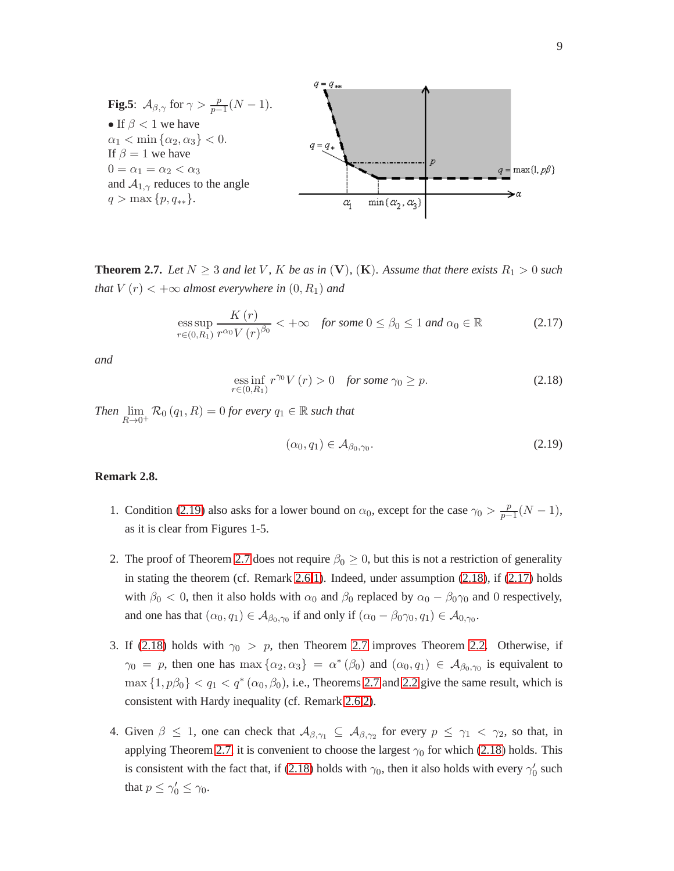

<span id="page-8-0"></span>**Theorem 2.7.** Let  $N \geq 3$  and let V, K be as in (V), (K). Assume that there exists  $R_1 > 0$  such *that*  $V(r) < +\infty$  *almost everywhere in*  $(0, R_1)$  *and* 

<span id="page-8-5"></span>
$$
\underset{r\in(0,R_1)}{\text{ess sup}} \frac{K(r)}{r^{\alpha_0}V(r)^{\beta_0}} < +\infty \quad \text{for some } 0 \le \beta_0 \le 1 \text{ and } \alpha_0 \in \mathbb{R} \tag{2.17}
$$

*and*

<span id="page-8-4"></span>
$$
\underset{r\in(0,R_1)}{\text{ess inf}} r^{\gamma_0} V(r) > 0 \quad \text{for some } \gamma_0 \ge p. \tag{2.18}
$$

*Then*  $\lim_{R\to 0^+} \mathcal{R}_0(q_1, R) = 0$  *for every*  $q_1 \in \mathbb{R}$  *such that* 

<span id="page-8-3"></span>
$$
(\alpha_0, q_1) \in \mathcal{A}_{\beta_0, \gamma_0}.\tag{2.19}
$$

#### <span id="page-8-1"></span>**Remark 2.8.**

- 1. Condition [\(2.19\)](#page-8-3) also asks for a lower bound on  $\alpha_0$ , except for the case  $\gamma_0 > \frac{p}{p-1}$  $\frac{p}{p-1}(N-1),$ as it is clear from Figures 1-5.
- 2. The proof of Theorem [2.7](#page-8-0) does not require  $\beta_0 \geq 0$ , but this is not a restriction of generality in stating the theorem (cf. Remark [2.6.](#page-6-0)[1\)](#page-6-2). Indeed, under assumption  $(2.18)$ , if  $(2.17)$  holds with  $\beta_0 < 0$ , then it also holds with  $\alpha_0$  and  $\beta_0$  replaced by  $\alpha_0 - \beta_0 \gamma_0$  and 0 respectively, and one has that  $(\alpha_0, q_1) \in A_{\beta_0, \gamma_0}$  if and only if  $(\alpha_0 - \beta_0 \gamma_0, q_1) \in A_{0, \gamma_0}$ .
- <span id="page-8-2"></span>3. If [\(2.18\)](#page-8-4) holds with  $\gamma_0 > p$ , then Theorem [2.7](#page-8-0) improves Theorem [2.2.](#page-4-0) Otherwise, if  $\gamma_0 = p$ , then one has  $\max{\alpha_2, \alpha_3} = \alpha^*(\beta_0)$  and  $(\alpha_0, q_1) \in \mathcal{A}_{\beta_0, \gamma_0}$  is equivalent to  $\max\{1, p\beta_0\} < q_1 < q^*(\alpha_0, \beta_0)$ , i.e., Theorems [2.7](#page-8-0) and [2.2](#page-4-0) give the same result, which is consistent with Hardy inequality (cf. Remark [2.6](#page-6-0)[.2\)](#page-6-1).
- 4. Given  $\beta \leq 1$ , one can check that  $A_{\beta,\gamma_1} \subseteq A_{\beta,\gamma_2}$  for every  $p \leq \gamma_1 < \gamma_2$ , so that, in applying Theorem [2.7,](#page-8-0) it is convenient to choose the largest  $\gamma_0$  for which [\(2.18\)](#page-8-4) holds. This is consistent with the fact that, if [\(2.18\)](#page-8-4) holds with  $\gamma_0$ , then it also holds with every  $\gamma'_0$  such that  $p \leq \gamma'_0 \leq \gamma_0$ .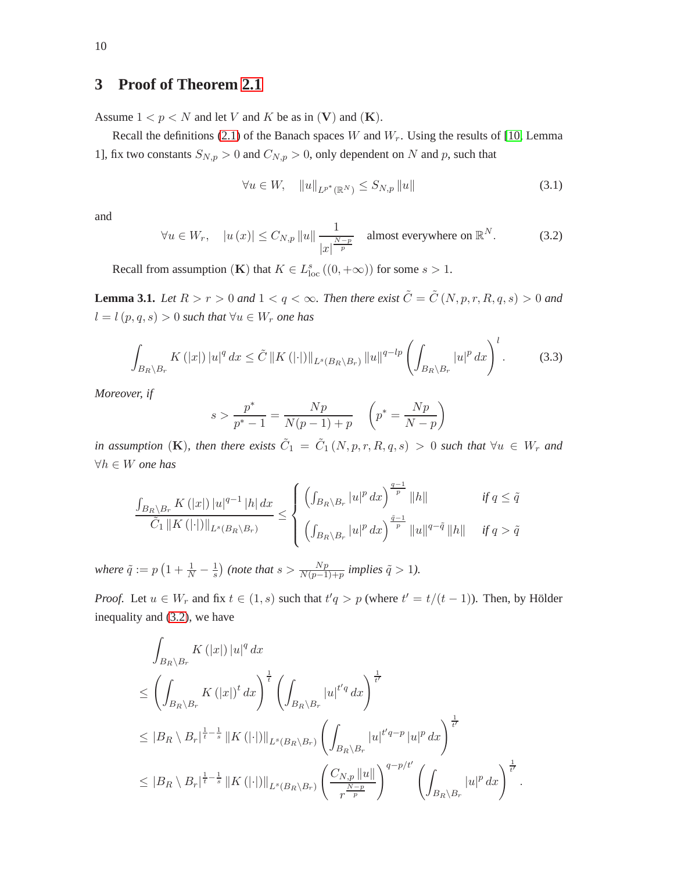# <span id="page-9-0"></span>**3 Proof of Theorem [2.1](#page-3-0)**

Assume  $1 < p < N$  and let V and K be as in (V) and (K).

Recall the definitions [\(2.1\)](#page-2-1) of the Banach spaces W and  $W_r$ . Using the results of [\[10,](#page-30-4) Lemma 1], fix two constants  $S_{N,p} > 0$  and  $C_{N,p} > 0$ , only dependent on N and p, such that

<span id="page-9-4"></span>
$$
\forall u \in W, \quad \|u\|_{L^{p^*}(\mathbb{R}^N)} \le S_{N,p} \|u\| \tag{3.1}
$$

and

<span id="page-9-2"></span>
$$
\forall u \in W_r, \quad |u(x)| \le C_{N,p} \|u\| \frac{1}{|x|^{\frac{N-p}{p}}} \quad \text{almost everywhere on } \mathbb{R}^N. \tag{3.2}
$$

Recall from assumption (**K**) that  $K \in L_{\text{loc}}^{s}((0, +\infty))$  for some  $s > 1$ .

<span id="page-9-1"></span>**Lemma 3.1.** *Let*  $R > r > 0$  *and*  $1 < q < \infty$ *. Then there exist*  $\tilde{C} = \tilde{C}(N, p, r, R, q, s) > 0$  *and* l = l(p, q, s) > 0 *such that* ∀u ∈ W<sup>r</sup> *one has*

<span id="page-9-3"></span>
$$
\int_{B_R \setminus B_r} K(|x|) |u|^q dx \leq \tilde{C} \|K(|\cdot|) \|_{L^s(B_R \setminus B_r)} \|u\|^{q-lp} \left( \int_{B_R \setminus B_r} |u|^p dx \right)^l. \tag{3.3}
$$

*Moreover, if*

$$
s > \frac{p^*}{p^* - 1} = \frac{Np}{N(p - 1) + p} \quad \left(p^* = \frac{Np}{N - p}\right)
$$

*in assumption* (K), then there exists  $\tilde{C}_1 = \tilde{C}_1(N, p, r, R, q, s) > 0$  such that  $\forall u \in W_r$  and ∀h ∈ W *one has*

$$
\frac{\int_{B_R \setminus B_r} K(|x|) |u|^{q-1} |h| dx}{\tilde{C}_1 \|K(|\cdot|) \|_{L^s(B_R \setminus B_r)}} \le \begin{cases} \left( \int_{B_R \setminus B_r} |u|^p dx \right)^{\frac{q-1}{p}} \|h\| & \text{if } q \le \tilde{q} \\ \left( \int_{B_R \setminus B_r} |u|^p dx \right)^{\frac{\tilde{q}-1}{p}} \|u\|^{q-\tilde{q}} \|h\| & \text{if } q > \tilde{q} \end{cases}
$$

where  $\tilde{q} := p \left( 1 + \frac{1}{N} - \frac{1}{s} \right)$  $\frac{1}{s}$ ) (note that  $s > \frac{Np}{N(p-1)+p}$  implies  $\tilde{q} > 1$ ).

*Proof.* Let  $u \in W_r$  and fix  $t \in (1, s)$  such that  $t'q > p$  (where  $t' = t/(t-1)$ ). Then, by Hölder inequality and [\(3.2\)](#page-9-2), we have

$$
\int_{B_R \setminus B_r} K(|x|) |u|^q dx
$$
\n
$$
\leq \left( \int_{B_R \setminus B_r} K(|x|)^t dx \right)^{\frac{1}{t}} \left( \int_{B_R \setminus B_r} |u|^{t'q} dx \right)^{\frac{1}{t'}}
$$
\n
$$
\leq |B_R \setminus B_r|^{\frac{1}{t} - \frac{1}{s}} ||K(|\cdot|)||_{L^s(B_R \setminus B_r)} \left( \int_{B_R \setminus B_r} |u|^{t'q - p} |u|^p dx \right)^{\frac{1}{t'}}
$$
\n
$$
\leq |B_R \setminus B_r|^{\frac{1}{t} - \frac{1}{s}} ||K(|\cdot|)||_{L^s(B_R \setminus B_r)} \left( \frac{C_{N,p} ||u||}{r^{\frac{N-p}{p}}} \right)^{q - p/t'} \left( \int_{B_R \setminus B_r} |u|^p dx \right)^{\frac{1}{t'}}.
$$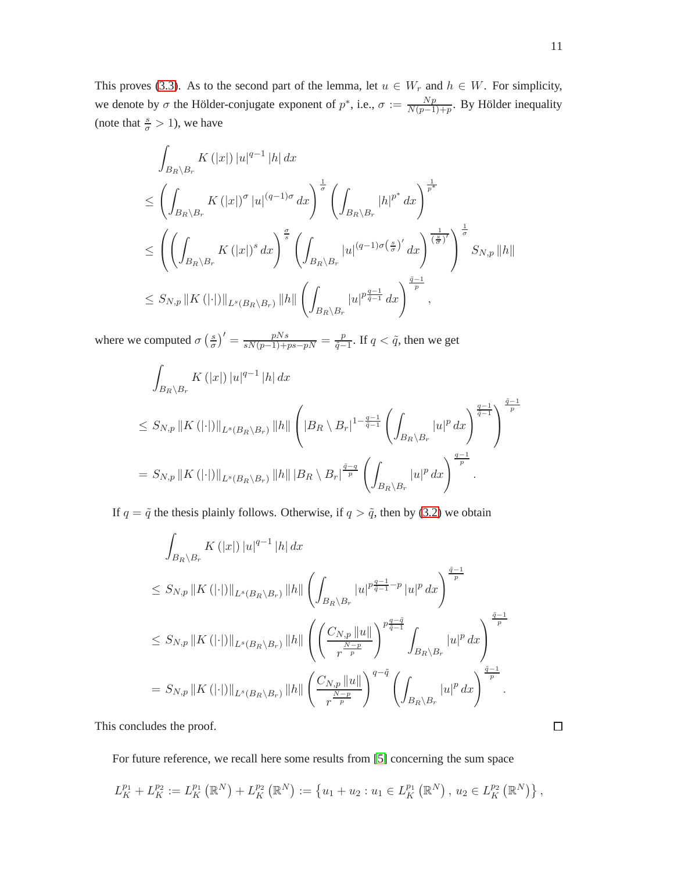This proves [\(3.3\)](#page-9-3). As to the second part of the lemma, let  $u \in W_r$  and  $h \in W$ . For simplicity, we denote by  $\sigma$  the Hölder-conjugate exponent of  $p^*$ , i.e.,  $\sigma := \frac{Np}{N(n-1)}$  $\frac{Np}{N(p-1)+p}$ . By Hölder inequality (note that  $\frac{s}{\sigma} > 1$ ), we have

$$
\int_{B_R \setminus B_r} K(|x|) |u|^{q-1} |h| dx
$$
\n
$$
\leq \left( \int_{B_R \setminus B_r} K(|x|)^\sigma |u|^{(q-1)\sigma} dx \right)^{\frac{1}{\sigma}} \left( \int_{B_R \setminus B_r} |h|^{p^*} dx \right)^{\frac{1}{p^*}}
$$
\n
$$
\leq \left( \left( \int_{B_R \setminus B_r} K(|x|)^s dx \right)^{\frac{\sigma}{s}} \left( \int_{B_R \setminus B_r} |u|^{(q-1)\sigma(\frac{s}{\sigma})'} dx \right)^{\frac{1}{(\frac{s}{\sigma})'}} \right)^{\frac{1}{\sigma}} S_{N,p} ||h||
$$
\n
$$
\leq S_{N,p} ||K(||\cdot||)||_{L^s(B_R \setminus B_r)} ||h|| \left( \int_{B_R \setminus B_r} |u|^{p \frac{q-1}{q-1}} dx \right)^{\frac{\tilde{q}-1}{p}},
$$

where we computed  $\sigma\left(\frac{s}{\sigma}\right)$  $\left(\frac{s}{\sigma}\right)' = \frac{pNs}{sN(p-1)+ps-pN} = \frac{p}{\tilde{q}-1}$  $\frac{p}{\tilde{q}-1}$ . If  $q < \tilde{q}$ , then we get

$$
\int_{B_R \setminus B_r} K(|x|) |u|^{q-1} |h| dx
$$
\n
$$
\leq S_{N,p} ||K(||\cdot||)||_{L^s(B_R \setminus B_r)} ||h|| \left( |B_R \setminus B_r|^{1-\frac{q-1}{q-1}} \left( \int_{B_R \setminus B_r} |u|^p dx \right)^{\frac{q-1}{q-1}} \right)^{\frac{\tilde{q}-1}{p}}
$$
\n
$$
= S_{N,p} ||K(||\cdot||)||_{L^s(B_R \setminus B_r)} ||h|| ||B_R \setminus B_r|^{\frac{\tilde{q}-q}{p}} \left( \int_{B_R \setminus B_r} |u|^p dx \right)^{\frac{q-1}{p}}.
$$

If  $q = \tilde{q}$  the thesis plainly follows. Otherwise, if  $q > \tilde{q}$ , then by [\(3.2\)](#page-9-2) we obtain

$$
\int_{B_R \setminus B_r} K(|x|) |u|^{q-1} |h| dx
$$
\n
$$
\leq S_{N,p} ||K(||\cdot||)||_{L^s(B_R \setminus B_r)} ||h|| \left( \int_{B_R \setminus B_r} |u|^{p\frac{q-1}{q-1}-p} |u|^p dx \right)^{\frac{\tilde{q}-1}{p}}
$$
\n
$$
\leq S_{N,p} ||K(||\cdot||)||_{L^s(B_R \setminus B_r)} ||h|| \left( \left( \frac{C_{N,p} ||u||}{r^{\frac{N-p}{p}}} \right)^{p\frac{q-\tilde{q}}{\tilde{q}-1}} \int_{B_R \setminus B_r} |u|^p dx \right)^{\frac{\tilde{q}-1}{p}}
$$
\n
$$
= S_{N,p} ||K(||\cdot||)||_{L^s(B_R \setminus B_r)} ||h|| \left( \frac{C_{N,p} ||u||}{r^{\frac{N-p}{p}}} \right)^{q-\tilde{q}} \left( \int_{B_R \setminus B_r} |u|^p dx \right)^{\frac{\tilde{q}-1}{p}}.
$$

This concludes the proof.

For future reference, we recall here some results from [\[5\]](#page-29-3) concerning the sum space

$$
L_K^{p_1} + L_K^{p_2} := L_K^{p_1}(\mathbb{R}^N) + L_K^{p_2}(\mathbb{R}^N) := \{ u_1 + u_2 : u_1 \in L_K^{p_1}(\mathbb{R}^N), u_2 \in L_K^{p_2}(\mathbb{R}^N) \},
$$

 $\Box$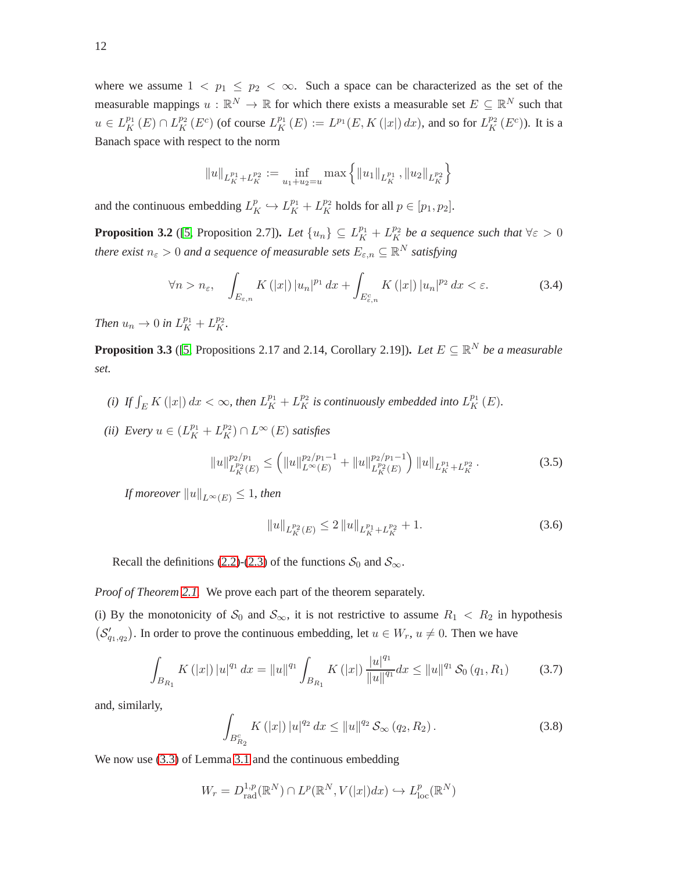where we assume  $1 < p_1 \le p_2 < \infty$ . Such a space can be characterized as the set of the measurable mappings  $u : \mathbb{R}^N \to \mathbb{R}$  for which there exists a measurable set  $E \subseteq \mathbb{R}^N$  such that  $u \in L_K^{p_1}(E) \cap L_K^{p_2}(E^c)$  (of course  $L_K^{p_1}(E) := L^{p_1}(E, K(|x|) dx)$ , and so for  $L_K^{p_2}(E^c)$ ). It is a Banach space with respect to the norm

$$
||u||_{L_K^{p_1}+L_K^{p_2}} := \inf_{u_1+u_2=u} \max \left\{ ||u_1||_{L_K^{p_1}}, ||u_2||_{L_K^{p_2}} \right\}
$$

and the continuous embedding  $L_K^p \hookrightarrow L_K^{p_1} + L_K^{p_2}$  holds for all  $p \in [p_1, p_2]$ .

<span id="page-11-2"></span>**Proposition 3.2** ([\[5,](#page-29-3) Proposition 2.7]). Let  $\{u_n\} \subseteq L_K^{p_1} + L_K^{p_2}$  be a sequence such that  $\forall \varepsilon > 0$ *there exist*  $n_{\varepsilon} > 0$  and a sequence of measurable sets  $E_{\varepsilon,n} \subseteq \mathbb{R}^N$  satisfying

$$
\forall n > n_{\varepsilon}, \quad \int_{E_{\varepsilon,n}} K(|x|) |u_n|^{p_1} dx + \int_{E_{\varepsilon,n}^c} K(|x|) |u_n|^{p_2} dx < \varepsilon. \tag{3.4}
$$

*Then*  $u_n \to 0$  *in*  $L_K^{p_1} + L_K^{p_2}$ *.* 

<span id="page-11-3"></span>**Proposition 3.3** ([\[5,](#page-29-3) Propositions 2.17 and 2.14, Corollary 2.19]). Let  $E \subseteq \mathbb{R}^N$  be a measurable *set.*

- *(i)* If  $\int_E K(|x|) dx < \infty$ , then  $L_K^{p_1} + L_K^{p_2}$  is continuously embedded into  $L_K^{p_1}(E)$ .
- (*ii*) Every  $u \in (L_K^{p_1} + L_K^{p_2}) \cap L^{\infty}(E)$  *satisfies*

<span id="page-11-5"></span>
$$
||u||_{L_K^{p_2}(E)}^{p_2/p_1} \le (||u||_{L^\infty(E)}^{p_2/p_1-1} + ||u||_{L_K^{p_2}(E)}^{p_2/p_1-1}) ||u||_{L_K^{p_1} + L_K^{p_2}}.
$$
\n(3.5)

*If moreover*  $||u||_{L^{\infty}(E)} \leq 1$ *, then* 

<span id="page-11-4"></span>
$$
||u||_{L_K^{p_2}(E)} \le 2 ||u||_{L_K^{p_1} + L_K^{p_2}} + 1.
$$
\n(3.6)

Recall the definitions [\(2.2\)](#page-2-2)-[\(2.3\)](#page-2-2) of the functions  $S_0$  and  $S_{\infty}$ .

*Proof of Theorem [2.1.](#page-3-0)* We prove each part of the theorem separately.

(i) By the monotonicity of  $S_0$  and  $S_{\infty}$ , it is not restrictive to assume  $R_1 < R_2$  in hypothesis  $(S'_{q_1,q_2})$ . In order to prove the continuous embedding, let  $u \in W_r$ ,  $u \neq 0$ . Then we have

<span id="page-11-0"></span>
$$
\int_{B_{R_1}} K(|x|) |u|^{q_1} dx = ||u||^{q_1} \int_{B_{R_1}} K(|x|) \frac{|u|^{q_1}}{||u||^{q_1}} dx \le ||u||^{q_1} \mathcal{S}_0(q_1, R_1) \tag{3.7}
$$

and, similarly,

<span id="page-11-1"></span>
$$
\int_{B_{R_2}^c} K(|x|) |u|^{q_2} dx \le ||u||^{q_2} \mathcal{S}_{\infty}(q_2, R_2).
$$
 (3.8)

We now use  $(3.3)$  of Lemma [3.1](#page-9-1) and the continuous embedding

$$
W_r = D_{\text{rad}}^{1,p}(\mathbb{R}^N) \cap L^p(\mathbb{R}^N, V(|x|)dx) \hookrightarrow L^p_{\text{loc}}(\mathbb{R}^N)
$$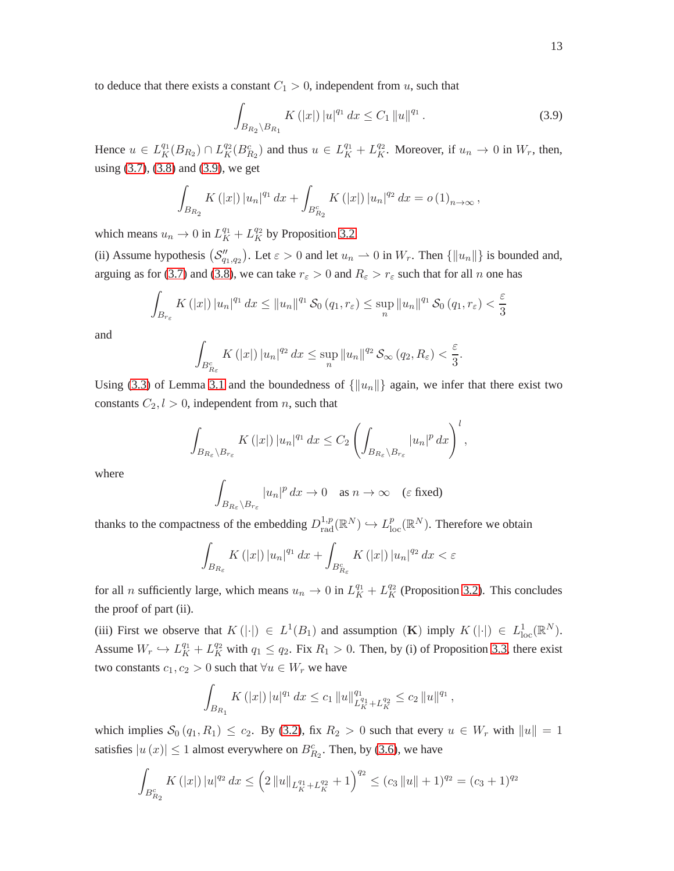<span id="page-12-0"></span>
$$
\int_{B_{R_2}\setminus B_{R_1}} K(|x|) |u|^{q_1} dx \le C_1 \|u\|^{q_1}.
$$
\n(3.9)

Hence  $u \in L_K^{q_1}(B_{R_2}) \cap L_K^{q_2}(B_{R_2}^c)$  and thus  $u \in L_K^{q_1} + L_K^{q_2}$ . Moreover, if  $u_n \to 0$  in  $W_r$ , then, using [\(3.7\)](#page-11-0), [\(3.8\)](#page-11-1) and [\(3.9\)](#page-12-0), we get

$$
\int_{B_{R_2}} K(|x|) |u_n|^{q_1} dx + \int_{B_{R_2}^c} K(|x|) |u_n|^{q_2} dx = o(1)_{n \to \infty},
$$

which means  $u_n \to 0$  in  $L_K^{q_1} + L_K^{q_2}$  by Proposition [3.2.](#page-11-2)

(ii) Assume hypothesis  $(S_{q_1,q_2}'')$ . Let  $\varepsilon > 0$  and let  $u_n \rightharpoonup 0$  in  $W_r$ . Then  $\{\|u_n\|\}$  is bounded and, arguing as for [\(3.7\)](#page-11-0) and [\(3.8\)](#page-11-1), we can take  $r_{\varepsilon} > 0$  and  $R_{\varepsilon} > r_{\varepsilon}$  such that for all n one has

$$
\int_{B_{r_{\varepsilon}}} K\left(|x|\right) |u_n|^{q_1} dx \le ||u_n||^{q_1} \mathcal{S}_0\left(q_1, r_{\varepsilon}\right) \le \sup_n ||u_n||^{q_1} \mathcal{S}_0\left(q_1, r_{\varepsilon}\right) < \frac{\varepsilon}{3}
$$

and

$$
\int_{B_{R_{\varepsilon}}^c} K\left(|x|\right) |u_n|^{q_2} \, dx \leq \sup_n \|u_n\|^{q_2} \mathcal{S}_{\infty} \left(q_2, R_{\varepsilon}\right) < \frac{\varepsilon}{3}.
$$

Using [\(3.3\)](#page-9-3) of Lemma [3.1](#page-9-1) and the boundedness of  $\{\Vert u_n \Vert\}$  again, we infer that there exist two constants  $C_2$ ,  $l > 0$ , independent from n, such that

$$
\int_{B_{R_{\varepsilon}}\setminus B_{r_{\varepsilon}}} K\left(|x|\right) |u_n|^{q_1} dx \leq C_2 \left( \int_{B_{R_{\varepsilon}}\setminus B_{r_{\varepsilon}}} |u_n|^p dx \right)^l,
$$

where

$$
\int_{B_{R_{\varepsilon}}\setminus B_{r_{\varepsilon}}} |u_n|^p \, dx \to 0 \quad \text{as } n \to \infty \quad (\varepsilon \text{ fixed})
$$

thanks to the compactness of the embedding  $D_{rad}^{1,p}(\mathbb{R}^N) \hookrightarrow L_{loc}^p(\mathbb{R}^N)$ . Therefore we obtain

$$
\int_{B_{R_{\varepsilon}}} K\left(|x|\right) |u_n|^{q_1} \, dx + \int_{B_{R_{\varepsilon}}^c} K\left(|x|\right) |u_n|^{q_2} \, dx < \varepsilon
$$

for all *n* sufficiently large, which means  $u_n \to 0$  in  $L_K^{q_1} + L_K^{q_2}$  (Proposition [3.2\)](#page-11-2). This concludes the proof of part (ii).

(iii) First we observe that  $K(|\cdot|) \in L^1(B_1)$  and assumption  $(K)$  imply  $K(|\cdot|) \in L^1_{loc}(\mathbb{R}^N)$ . Assume  $W_r \hookrightarrow L_K^{q_1} + L_K^{q_2}$  with  $q_1 \leq q_2$ . Fix  $R_1 > 0$ . Then, by (i) of Proposition [3.3,](#page-11-3) there exist two constants  $c_1, c_2 > 0$  such that  $\forall u \in W_r$  we have

$$
\int_{B_{R_1}} K(|x|) |u|^{q_1} dx \leq c_1 \|u\|_{L_K^{q_1} + L_K^{q_2}}^{q_1} \leq c_2 \|u\|^{q_1},
$$

which implies  $S_0(q_1, R_1) \leq c_2$ . By [\(3.2\)](#page-9-2), fix  $R_2 > 0$  such that every  $u \in W_r$  with  $||u|| = 1$ satisfies  $|u(x)| \le 1$  almost everywhere on  $B_{R_2}^c$ . Then, by [\(3.6\)](#page-11-4), we have

$$
\int_{B_{R_2}^c} K(|x|) |u|^{q_2} dx \leq (2 \|u\|_{L_K^{q_1} + L_K^{q_2}} + 1)^{q_2} \leq (c_3 \|u\| + 1)^{q_2} = (c_3 + 1)^{q_2}
$$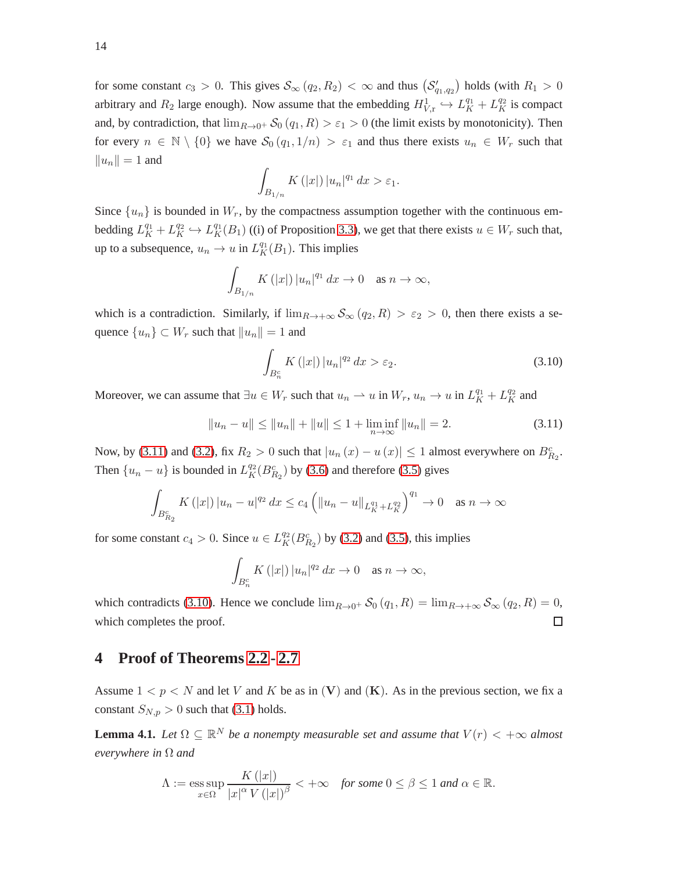for some constant  $c_3 > 0$ . This gives  $S_\infty(q_2, R_2) < \infty$  and thus  $(S'_{q_1,q_2})$  holds (with  $R_1 > 0$ arbitrary and  $R_2$  large enough). Now assume that the embedding  $H_{V,\text{r}}^1 \hookrightarrow L_K^{q_1} + L_K^{q_2}$  is compact and, by contradiction, that  $\lim_{R\to 0^+} S_0(q_1, R) > \varepsilon_1 > 0$  (the limit exists by monotonicity). Then for every  $n \in \mathbb{N} \setminus \{0\}$  we have  $\mathcal{S}_0(q_1, 1/n) > \varepsilon_1$  and thus there exists  $u_n \in W_r$  such that  $||u_n|| = 1$  and

$$
\int_{B_{1/n}} K(|x|) |u_n|^{q_1} dx > \varepsilon_1.
$$

Since  $\{u_n\}$  is bounded in  $W_r$ , by the compactness assumption together with the continuous embedding  $L_K^{q_1} + L_K^{q_2} \hookrightarrow L_K^{q_1}(B_1)$  ((i) of Proposition [3.3\)](#page-11-3), we get that there exists  $u \in W_r$  such that, up to a subsequence,  $u_n \to u$  in  $L_K^{q_1}(B_1)$ . This implies

$$
\int_{B_{1/n}} K(|x|) |u_n|^{q_1} dx \to 0 \quad \text{as } n \to \infty,
$$

which is a contradiction. Similarly, if  $\lim_{R\to+\infty} S_\infty(q_2, R) > \varepsilon_2 > 0$ , then there exists a sequence  ${u_n} \subset W_r$  such that  $||u_n|| = 1$  and

<span id="page-13-2"></span>
$$
\int_{B_n^c} K(|x|) |u_n|^{q_2} dx > \varepsilon_2.
$$
\n(3.10)

Moreover, we can assume that  $\exists u \in W_r$  such that  $u_n \to u$  in  $W_r$ ,  $u_n \to u$  in  $L_K^{q_1} + L_K^{q_2}$  and

<span id="page-13-1"></span>
$$
||u_n - u|| \le ||u_n|| + ||u|| \le 1 + \liminf_{n \to \infty} ||u_n|| = 2.
$$
 (3.11)

Now, by [\(3.11\)](#page-13-1) and [\(3.2\)](#page-9-2), fix  $R_2 > 0$  such that  $|u_n(x) - u(x)| \le 1$  almost everywhere on  $B_{R_2}^c$ . Then  $\{u_n - u\}$  is bounded in  $L_K^{q_2}(B_{R_2}^c)$  by [\(3.6\)](#page-11-4) and therefore [\(3.5\)](#page-11-5) gives

$$
\int_{B_{R_2}^c} K(|x|) |u_n - u|^{q_2} dx \le c_4 \left( \|u_n - u\|_{L_K^{q_1} + L_K^{q_2}} \right)^{q_1} \to 0 \quad \text{as } n \to \infty
$$

for some constant  $c_4 > 0$ . Since  $u \in L_K^{q_2}(B_{R_2}^c)$  by [\(3.2\)](#page-9-2) and [\(3.5\)](#page-11-5), this implies

$$
\int_{B_n^c} K(|x|) |u_n|^{q_2} dx \to 0 \quad \text{as } n \to \infty,
$$

which contradicts [\(3.10\)](#page-13-2). Hence we conclude  $\lim_{R\to 0^+} \mathcal{S}_0(q_1, R) = \lim_{R\to +\infty} \mathcal{S}_{\infty}(q_2, R) = 0$ , which completes the proof.  $\Box$ 

## <span id="page-13-0"></span>**4 Proof of Theorems [2.2](#page-4-0) - [2.7](#page-8-0)**

Assume  $1 < p < N$  and let V and K be as in (V) and (K). As in the previous section, we fix a constant  $S_{N,p} > 0$  such that [\(3.1\)](#page-9-4) holds.

<span id="page-13-3"></span>**Lemma 4.1.** Let  $\Omega \subseteq \mathbb{R}^N$  be a nonempty measurable set and assume that  $V(r) < +\infty$  almost *everywhere in* Ω *and*

$$
\Lambda := \operatorname*{ess\,sup}_{x \in \Omega} \frac{K(|x|)}{|x|^{\alpha} V(|x|)^{\beta}} < +\infty \quad \textit{for some } 0 \le \beta \le 1 \textit{ and } \alpha \in \mathbb{R}.
$$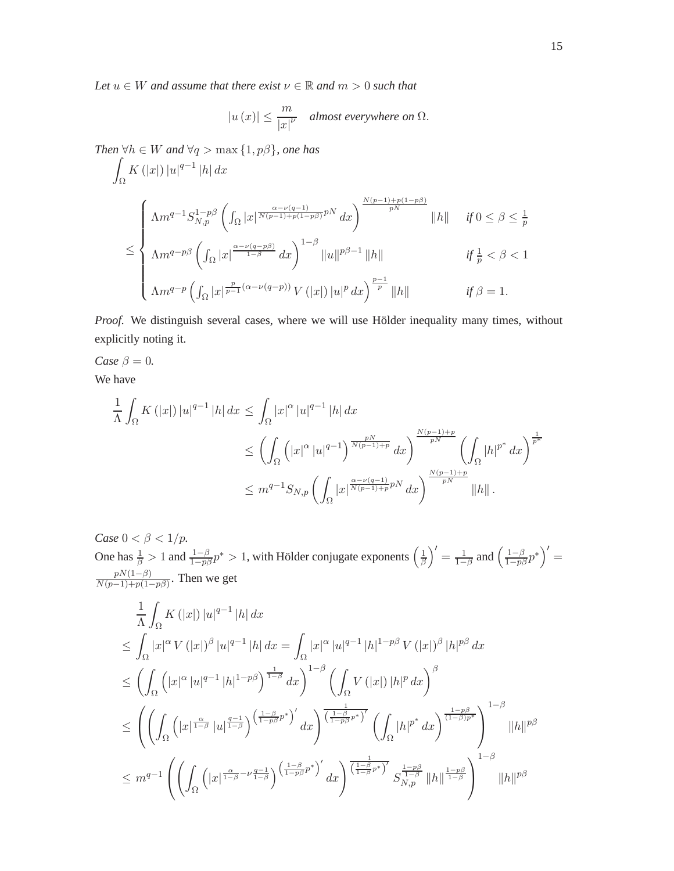*Let*  $u \in W$  *and assume that there exist*  $v \in \mathbb{R}$  *and*  $m > 0$  *such that* 

$$
|u(x)| \le \frac{m}{|x|^{\nu}} \quad \textit{almost everywhere on } \Omega.
$$

*Then*  $\forall h \in W$  *and*  $\forall q > \max\{1, p\beta\}$ *, one has* 

$$
\int_{\Omega} K(|x|) |u|^{q-1} |h| dx
$$
\n
$$
\leq \begin{cases}\n\Lambda m^{q-1} S_{N,p}^{1-p\beta} \left( \int_{\Omega} |x|^{\frac{\alpha-\nu(q-1)}{N(p-1)+p(1-p\beta)}} p^N dx \right)^{\frac{N(p-1)+p(1-p\beta)}{pN}} ||h|| & \text{ if } 0 \leq \beta \leq \frac{1}{p} \\
\Lambda m^{q-p\beta} \left( \int_{\Omega} |x|^{\frac{\alpha-\nu(q-p\beta)}{1-\beta}} dx \right)^{1-\beta} ||u||^{p\beta-1} ||h|| & \text{ if } \frac{1}{p} < \beta < 1 \\
\Lambda m^{q-p} \left( \int_{\Omega} |x|^{\frac{p}{p-1}(\alpha-\nu(q-p))} V(|x|) |u|^p dx \right)^{\frac{p-1}{p}} ||h|| & \text{ if } \beta = 1.\n\end{cases}
$$

*Proof.* We distinguish several cases, where we will use Hölder inequality many times, without explicitly noting it.

*Case*  $\beta = 0$ *.* 

We have

$$
\frac{1}{\Lambda} \int_{\Omega} K(|x|) |u|^{q-1} |h| dx \le \int_{\Omega} |x|^{\alpha} |u|^{q-1} |h| dx
$$
  
\n
$$
\le \left( \int_{\Omega} \left( |x|^{\alpha} |u|^{q-1} \right)^{\frac{pN}{N(p-1)+p}} dx \right)^{\frac{N(p-1)+p}{pN}} \left( \int_{\Omega} |h|^{p^*} dx \right)^{\frac{1}{p^*}}
$$
  
\n
$$
\le m^{q-1} S_{N,p} \left( \int_{\Omega} |x|^{\frac{\alpha-\nu(q-1)}{N(p-1)+p}pN} dx \right)^{\frac{N(p-1)+p}{pN}} ||h||.
$$

*Case*  $0 < \beta < 1/p$ *.* One has  $\frac{1}{\beta} > 1$  and  $\frac{1-\beta}{1-p\beta}p^* > 1$ , with Hölder conjugate exponents  $\left(\frac{1}{\beta}\right)$  $\frac{1}{\beta}$ <sup>'</sup> =  $\frac{1}{1-}$  $\frac{1}{1-\beta}$  and  $\left(\frac{1-\beta}{1-p\beta}p^*\right)'=$  $pN(1−β)$  $\frac{pN(1-p)}{N(p-1)+p(1-p\beta)}$ . Then we get

$$
\frac{1}{\Lambda} \int_{\Omega} K(|x|) |u|^{q-1} |h| dx
$$
\n
$$
\leq \int_{\Omega} |x|^{\alpha} V(|x|)^{\beta} |u|^{q-1} |h| dx = \int_{\Omega} |x|^{\alpha} |u|^{q-1} |h|^{1-p\beta} V(|x|)^{\beta} |h|^{p\beta} dx
$$
\n
$$
\leq \left( \int_{\Omega} (|x|^{\alpha} |u|^{q-1} |h|^{1-p\beta})^{\frac{1}{1-\beta}} dx \right)^{1-\beta} \left( \int_{\Omega} V(|x|) |h|^{p} dx \right)^{\beta}
$$
\n
$$
\leq \left( \left( \int_{\Omega} (|x|^{\frac{\alpha}{1-\beta}} |u|^{\frac{q-1}{1-\beta}})^{(\frac{1-\beta}{1-p\beta}p^*)'} dx \right)^{\frac{1-\beta}{(1-p\beta}p^*)'} \left( \int_{\Omega} |h|^{p^*} dx \right)^{\frac{1-p\beta}{(1-\beta)p^*}} \right)^{1-\beta} ||h||^{p\beta}
$$
\n
$$
\leq m^{q-1} \left( \left( \int_{\Omega} (|x|^{\frac{\alpha}{1-\beta}-\nu\frac{q-1}{1-\beta}})^{(\frac{1-\beta}{1-p\beta}p^*)'} dx \right)^{\frac{1}{(\frac{1-\beta}{1-\beta}p^*)'}} S_{N,p}^{\frac{1-p\beta}{1-\beta}} ||h||^{\frac{1-p\beta}{1-\beta}} \right)^{1-\beta} ||h||^{p\beta}
$$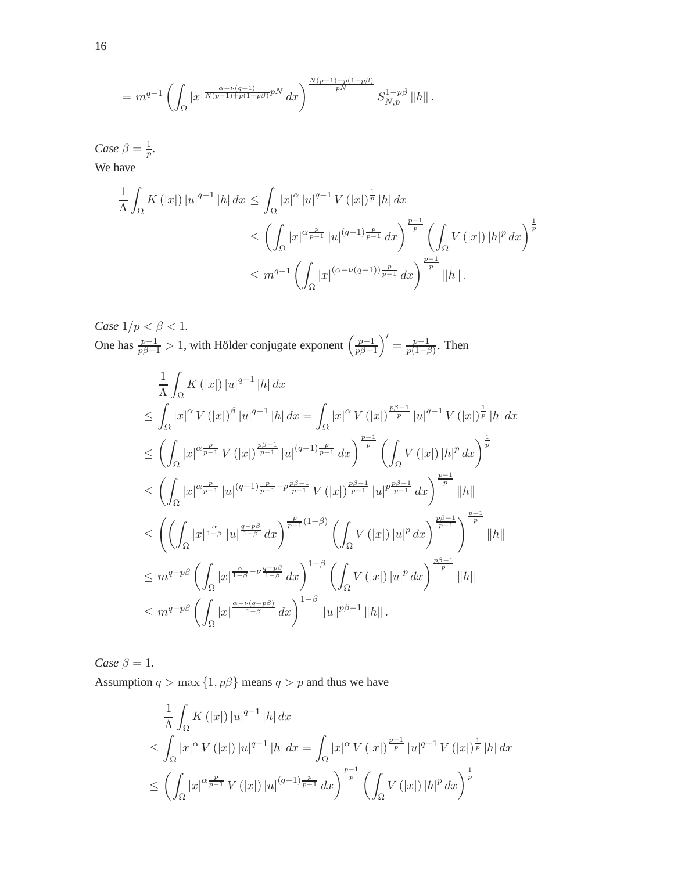$$
= m^{q-1} \left( \int_{\Omega} |x|^{\frac{\alpha-\nu(q-1)}{N(p-1)+p(1-p\beta)}}^{pN} dx \right)^{\frac{N(p-1)+p(1-p\beta)}{pN}} S_{N,p}^{1-p\beta} ||h||.
$$

*Case*  $\beta = \frac{1}{n}$  $\frac{1}{p}$ .

We have

$$
\frac{1}{\Lambda} \int_{\Omega} K(|x|) |u|^{q-1} |h| dx \le \int_{\Omega} |x|^{\alpha} |u|^{q-1} V(|x|)^{\frac{1}{p}} |h| dx
$$
  
\n
$$
\le \left( \int_{\Omega} |x|^{\alpha} \frac{p}{p-1} |u|^{(q-1)} \frac{p}{p-1} dx \right)^{\frac{p-1}{p}} \left( \int_{\Omega} V(|x|) |h|^{p} dx \right)^{\frac{1}{p}}
$$
  
\n
$$
\le m^{q-1} \left( \int_{\Omega} |x|^{(\alpha - \nu(q-1))} \frac{p}{p-1} dx \right)^{\frac{p-1}{p}} ||h||.
$$

*Case*  $1/p < \beta < 1$ *.* One has  $\frac{p-1}{p\beta-1} > 1$ , with Hölder conjugate exponent  $\left(\frac{p-1}{p\beta-1}\right)$  $\left( \frac{p-1}{p\beta-1} \right)' = \frac{p-1}{p(1-\beta)}$  $\frac{p-1}{p(1-\beta)}$ . Then

$$
\frac{1}{\Lambda} \int_{\Omega} K(|x|) |u|^{q-1} |h| dx
$$
\n
$$
\leq \int_{\Omega} |x|^{\alpha} V(|x|)^{\beta} |u|^{q-1} |h| dx = \int_{\Omega} |x|^{\alpha} V(|x|)^{\frac{p\beta-1}{p}} |u|^{q-1} V(|x|)^{\frac{1}{p}} |h| dx
$$
\n
$$
\leq \left( \int_{\Omega} |x|^{\alpha \frac{p}{p-1}} V(|x|)^{\frac{p\beta-1}{p-1}} |u|^{(q-1)\frac{p}{p-1}} dx \right)^{\frac{p-1}{p}} \left( \int_{\Omega} V(|x|) |h|^{p} dx \right)^{\frac{1}{p}}
$$
\n
$$
\leq \left( \int_{\Omega} |x|^{\alpha \frac{p}{p-1}} |u|^{(q-1)\frac{p}{p-1} - p\frac{p\beta-1}{p-1}} V(|x|)^{\frac{p\beta-1}{p-1}} |u|^{p\frac{p\beta-1}{p-1}} dx \right)^{\frac{p-1}{p}} ||h||
$$
\n
$$
\leq \left( \left( \int_{\Omega} |x|^{\frac{\alpha}{1-\beta}} |u|^{\frac{q-p\beta}{1-\beta}} dx \right)^{\frac{p}{p-1}(1-\beta)} \left( \int_{\Omega} V(|x|) |u|^{p} dx \right)^{\frac{p\beta-1}{p-1}} \right)^{\frac{p-1}{p}} ||h||
$$
\n
$$
\leq m^{q-p\beta} \left( \int_{\Omega} |x|^{\frac{\alpha}{1-\beta} - \nu \frac{q-p\beta}{1-\beta}} dx \right)^{1-\beta} \left( \int_{\Omega} V(|x|) |u|^{p} dx \right)^{\frac{p\beta-1}{p}} ||h||
$$
\n
$$
\leq m^{q-p\beta} \left( \int_{\Omega} |x|^{\frac{\alpha - \nu(q-p\beta)}{1-\beta}} dx \right)^{1-\beta} ||u||^{p\beta-1} ||h||.
$$

*Case*  $\beta = 1$ *.* 

Assumption  $q > \max\{1, p\beta\}$  means  $q > p$  and thus we have

$$
\frac{1}{\Lambda} \int_{\Omega} K(|x|) |u|^{q-1} |h| dx
$$
\n
$$
\leq \int_{\Omega} |x|^{\alpha} V(|x|) |u|^{q-1} |h| dx = \int_{\Omega} |x|^{\alpha} V(|x|)^{\frac{p-1}{p}} |u|^{q-1} V(|x|)^{\frac{1}{p}} |h| dx
$$
\n
$$
\leq \left( \int_{\Omega} |x|^{\alpha} \overline{p-1} V(|x|) |u|^{(q-1)} \overline{p-1} dx \right)^{\frac{p-1}{p}} \left( \int_{\Omega} V(|x|) |h|^{p} dx \right)^{\frac{1}{p}}
$$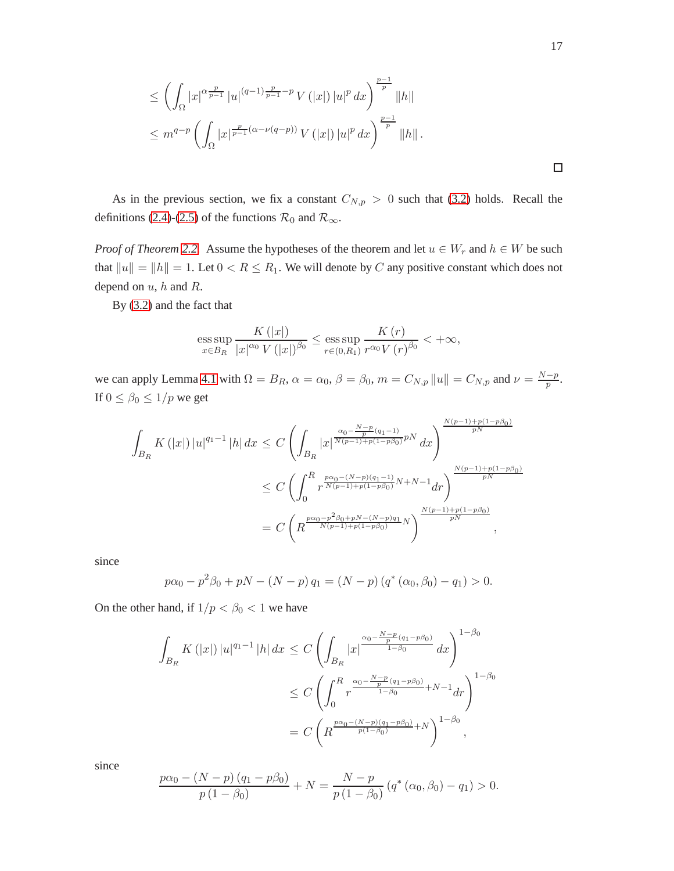$$
\leq \left( \int_{\Omega} |x|^{\alpha \frac{p}{p-1}} |u|^{(q-1)\frac{p}{p-1}-p} V(|x|) |u|^p dx \right)^{\frac{p-1}{p}} \|h\|
$$
  

$$
\leq m^{q-p} \left( \int_{\Omega} |x|^{\frac{p}{p-1}(\alpha-\nu(q-p))} V(|x|) |u|^p dx \right)^{\frac{p-1}{p}} \|h\|.
$$

As in the previous section, we fix a constant  $C_{N,p} > 0$  such that [\(3.2\)](#page-9-2) holds. Recall the definitions [\(2.4\)](#page-3-1)-[\(2.5\)](#page-3-1) of the functions  $\mathcal{R}_0$  and  $\mathcal{R}_{\infty}$ .

*Proof of Theorem* [2.2.](#page-4-0) Assume the hypotheses of the theorem and let  $u \in W_r$  and  $h \in W$  be such that  $||u|| = ||h|| = 1$ . Let  $0 < R \le R_1$ . We will denote by C any positive constant which does not depend on  $u$ ,  $h$  and  $R$ .

By [\(3.2\)](#page-9-2) and the fact that

ess sup 
$$
\frac{K(|x|)}{x \in B_R} \frac{K(|x|)}{|x|^{\alpha_0} V(|x|)^{\beta_0}} \le \underset{r \in (0,R_1)}{\text{ess sup}} \frac{K(r)}{r^{\alpha_0} V(r)^{\beta_0}} < +\infty
$$
,

we can apply Lemma [4.1](#page-13-3) with  $\Omega = B_R$ ,  $\alpha = \alpha_0$ ,  $\beta = \beta_0$ ,  $m = C_{N,p} ||u|| = C_{N,p}$  and  $\nu = \frac{N-p}{p}$  $\frac{-p}{p}$ . If  $0 \le \beta_0 \le 1/p$  we get

$$
\int_{B_R} K(|x|) |u|^{q_1-1} |h| dx \leq C \left( \int_{B_R} |x|^{\frac{\alpha_0 - \frac{N-p}{p}(q_1-1)}{N(p-1)+p(1-p\beta_0)}pN} dx \right)^{\frac{N(p-1)+p(1-p\beta_0)}{pN}}
$$
  

$$
\leq C \left( \int_0^R r^{\frac{p\alpha_0 - (N-p)(q_1-1)}{N(p-1)+p(1-p\beta_0)}N+N-1} dr \right)^{\frac{N(p-1)+p(1-p\beta_0)}{pN}}
$$
  

$$
= C \left( R^{\frac{p\alpha_0 - p^2\beta_0 + pN - (N-p)q_1}{N(p-1)+p(1-p\beta_0)}N} \right)^{\frac{N(p-1)+p(1-p\beta_0)}{pN}},
$$

since

$$
p\alpha_0 - p^2\beta_0 + pN - (N - p) q_1 = (N - p) (q^*(\alpha_0, \beta_0) - q_1) > 0.
$$

On the other hand, if  $1/p < \beta_0 < 1$  we have

$$
\int_{B_R} K(|x|) |u|^{q_1-1} |h| dx \leq C \left( \int_{B_R} |x|^{\frac{\alpha_0 - \frac{N-p}{p}(q_1 - p\beta_0)}{1-\beta_0}} dx \right)^{1-\beta_0}
$$
  

$$
\leq C \left( \int_0^R r^{\frac{\alpha_0 - \frac{N-p}{p}(q_1 - p\beta_0)}{1-\beta_0} + N - 1} dr \right)^{1-\beta_0}
$$
  

$$
= C \left( R^{\frac{p\alpha_0 - (N-p)(q_1 - p\beta_0)}{p(1-\beta_0)} + N} \right)^{1-\beta_0},
$$

since

$$
\frac{p\alpha_0 - (N - p) (q_1 - p\beta_0)}{p (1 - \beta_0)} + N = \frac{N - p}{p (1 - \beta_0)} (q^* (\alpha_0, \beta_0) - q_1) > 0.
$$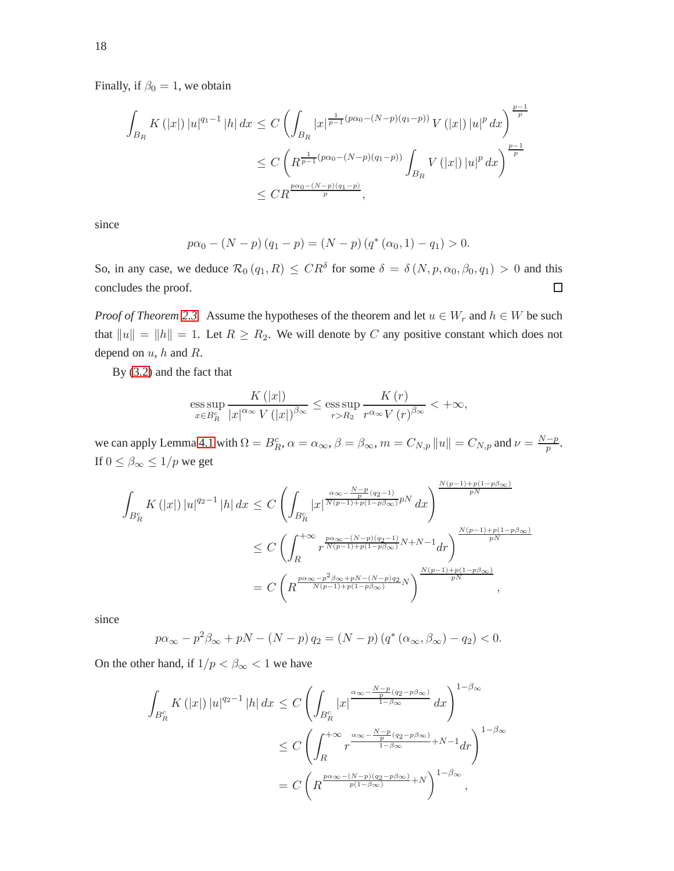Finally, if  $\beta_0 = 1$ , we obtain

$$
\int_{B_R} K(|x|) |u|^{q_1-1} |h| dx \le C \left( \int_{B_R} |x|^{\frac{1}{p-1}(p\alpha_0 - (N-p)(q_1-p))} V(|x|) |u|^p dx \right)^{\frac{p-1}{p}} \n\le C \left( R^{\frac{1}{p-1}(p\alpha_0 - (N-p)(q_1-p))} \int_{B_R} V(|x|) |u|^p dx \right)^{\frac{p-1}{p}} \n\le CR^{\frac{p\alpha_0 - (N-p)(q_1-p)}{p}},
$$

since

$$
p\alpha_0 - (N - p)(q_1 - p) = (N - p)(q^*(\alpha_0, 1) - q_1) > 0.
$$

So, in any case, we deduce  $\mathcal{R}_0(q_1, R) \leq CR^{\delta}$  for some  $\delta = \delta(N, p, \alpha_0, \beta_0, q_1) > 0$  and this concludes the proof.  $\Box$ 

*Proof of Theorem* [2.3.](#page-4-1) Assume the hypotheses of the theorem and let  $u \in W_r$  and  $h \in W$  be such that  $||u|| = ||h|| = 1$ . Let  $R \ge R_2$ . We will denote by C any positive constant which does not depend on  $u$ ,  $h$  and  $R$ .

By [\(3.2\)](#page-9-2) and the fact that

ess sup 
$$
\frac{K(|x|)}{x \in B_R^c} \frac{K(|x|)}{|x|^{\alpha_\infty} V(|x|)^{\beta_\infty}} \le \underset{r > R_2}{\text{ess sup }} \frac{K(r)}{r^{\alpha_\infty} V(r)^{\beta_\infty}} < +\infty,
$$

we can apply Lemma [4.1](#page-13-3) with  $\Omega = B_R^c$ ,  $\alpha = \alpha_\infty$ ,  $\beta = \beta_\infty$ ,  $m = C_{N,p} ||u|| = C_{N,p}$  and  $\nu = \frac{N-p}{p}$  $\frac{-p}{p}$ . If  $0 \leq \beta_{\infty} \leq 1/p$  we get

$$
\int_{B_R^c} K(|x|) |u|^{q_2-1} |h| dx \leq C \left( \int_{B_R^c} |x|^{\frac{\alpha_{\infty} - \frac{N-p}{p}(q_2-1)}{N(p-1)+p(1-p\beta_{\infty})}pN} dx \right)^{\frac{N(p-1)+p(1-p\beta_{\infty})}{pN}}
$$
  
\n
$$
\leq C \left( \int_{R}^{+\infty} r^{\frac{p\alpha_{\infty} - (N-p)(q_2-1)}{N(p-1)+p(1-p\beta_{\infty})}N+N-1} dr \right)^{\frac{N(p-1)+p(1-p\beta_{\infty})}{pN}}
$$
  
\n
$$
= C \left( R^{\frac{p\alpha_{\infty} - p^2\beta_{\infty} + pN - (N-p)q_2}{N(p-1)+p(1-p\beta_{\infty})}N} \right)^{\frac{N(p-1)+p(1-p\beta_{\infty})}{pN}},
$$

since

$$
p\alpha_{\infty} - p^2\beta_{\infty} + pN - (N - p)q_2 = (N - p)(q^*(\alpha_{\infty}, \beta_{\infty}) - q_2) < 0.
$$

On the other hand, if  $1/p < \beta_{\infty} < 1$  we have

$$
\int_{B_R^c} K(|x|) |u|^{q_2-1} |h| dx \leq C \left( \int_{B_R^c} |x|^{\frac{\alpha_\infty - \frac{N-p}{p}(q_2 - p\beta_\infty)}{1-\beta_\infty}} dx \right)^{1-\beta_\infty}
$$
  

$$
\leq C \left( \int_R^{+\infty} r^{\frac{\alpha_\infty - \frac{N-p}{p}(q_2 - p\beta_\infty)}{1-\beta_\infty}} + N - 1 dr \right)^{1-\beta_\infty}
$$
  

$$
= C \left( R^{\frac{p\alpha_\infty - (N-p)(q_2 - p\beta_\infty)}{p(1-\beta_\infty)} + N} \right)^{1-\beta_\infty},
$$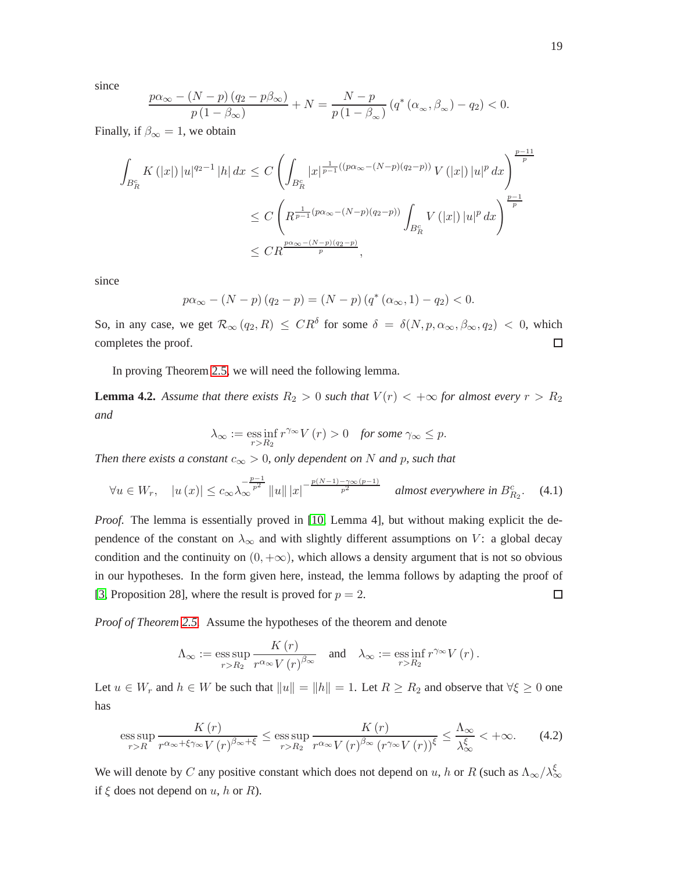since

$$
\frac{p\alpha_{\infty} - (N-p)(q_2 - p\beta_{\infty})}{p(1-\beta_{\infty})} + N = \frac{N-p}{p(1-\beta_{\infty})} \left( q^* \left( \alpha_{\infty}, \beta_{\infty} \right) - q_2 \right) < 0.
$$

Finally, if  $\beta_{\infty} = 1$ , we obtain

$$
\int_{B_R^c} K(|x|) |u|^{q_2-1} |h| dx \le C \left( \int_{B_R^c} |x|^{\frac{1}{p-1}((p\alpha_\infty - (N-p)(q_2-p))} V(|x|) |u|^p dx \right)^{\frac{p-11}{p}} \n\le C \left( R^{\frac{1}{p-1}(p\alpha_\infty - (N-p)(q_2-p))} \int_{B_R^c} V(|x|) |u|^p dx \right)^{\frac{p-1}{p}} \n\le C R^{\frac{p\alpha_\infty - (N-p)(q_2-p)}{p}},
$$

since

$$
p\alpha_{\infty} - (N - p)(q_2 - p) = (N - p)(q^*(\alpha_{\infty}, 1) - q_2) < 0.
$$

So, in any case, we get  $\mathcal{R}_{\infty}(q_2, R) \leq CR^{\delta}$  for some  $\delta = \delta(N, p, \alpha_{\infty}, \beta_{\infty}, q_2) < 0$ , which completes the proof.  $\Box$ 

In proving Theorem [2.5,](#page-5-0) we will need the following lemma.

**Lemma 4.2.** Assume that there exists  $R_2 > 0$  such that  $V(r) < +\infty$  for almost every  $r > R_2$ *and*

$$
\lambda_{\infty} := \underset{r>R_2}{\operatorname{ess\,inf}}\, r^{\gamma_{\infty}}V\left(r\right) > 0 \quad \textit{for some } \gamma_{\infty} \leq p.
$$

*Then there exists a constant*  $c_{\infty} > 0$ *, only dependent on* N *and* p*, such that* 

<span id="page-18-1"></span>
$$
\forall u \in W_r, \quad |u(x)| \le c_{\infty} \lambda_{\infty}^{-\frac{p-1}{p^2}} \|u\| \|x\|^{-\frac{p(N-1)-\gamma_{\infty}(p-1)}{p^2}} \quad \text{almost everywhere in } B_{R_2}^c. \tag{4.1}
$$

*Proof.* The lemma is essentially proved in [\[10,](#page-30-4) Lemma 4], but without making explicit the dependence of the constant on  $\lambda_{\infty}$  and with slightly different assumptions on V: a global decay condition and the continuity on  $(0, +\infty)$ , which allows a density argument that is not so obvious in our hypotheses. In the form given here, instead, the lemma follows by adapting the proof of [\[3,](#page-29-0) Proposition 28], where the result is proved for  $p = 2$ .  $\Box$ 

*Proof of Theorem [2.5.](#page-5-0)* Assume the hypotheses of the theorem and denote

$$
\Lambda_{\infty} := \operatorname*{ess\,sup}_{r>R_2} \frac{K(r)}{r^{\alpha_{\infty}} V(r)^{\beta_{\infty}}} \quad \text{and} \quad \lambda_{\infty} := \operatorname*{ess\,inf}_{r>R_2} r^{\gamma_{\infty}} V(r).
$$

Let  $u \in W_r$  and  $h \in W$  be such that  $||u|| = ||h|| = 1$ . Let  $R \ge R_2$  and observe that  $\forall \xi \ge 0$  one has

<span id="page-18-0"></span>
$$
\underset{r>R}{\operatorname{ess\,sup}}\,\frac{K\left(r\right)}{r^{\alpha_{\infty}+\xi\gamma_{\infty}}V\left(r\right)^{\beta_{\infty}+\xi}}\leq\underset{r>R_{2}}{\operatorname{ess\,sup}}\,\frac{K\left(r\right)}{r^{\alpha_{\infty}}V\left(r\right)^{\beta_{\infty}}\left(r^{\gamma_{\infty}}V\left(r\right)\right)^{\xi}}\leq\frac{\Lambda_{\infty}}{\lambda_{\infty}^{\xi}}<+\infty.\tag{4.2}
$$

We will denote by C any positive constant which does not depend on u, h or R (such as  $\Lambda_{\infty}/\lambda_{\infty}^{\xi}$ ) if  $\xi$  does not depend on  $u$ ,  $h$  or  $R$ ).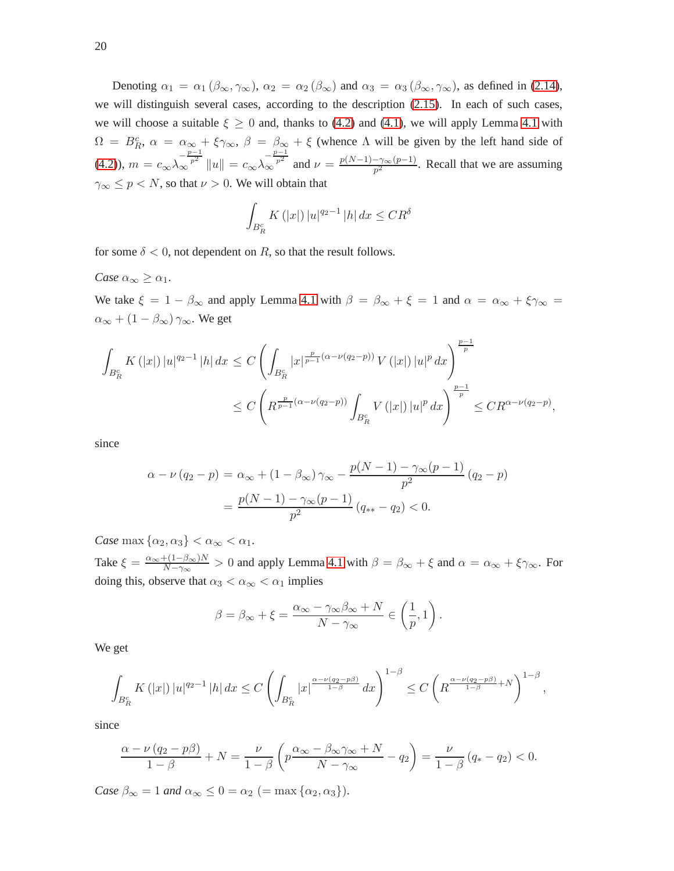Denoting  $\alpha_1 = \alpha_1 (\beta_\infty, \gamma_\infty)$ ,  $\alpha_2 = \alpha_2 (\beta_\infty)$  and  $\alpha_3 = \alpha_3 (\beta_\infty, \gamma_\infty)$ , as defined in [\(2.14\)](#page-5-6), we will distinguish several cases, according to the description [\(2.15\)](#page-5-4). In each of such cases, we will choose a suitable  $\xi \ge 0$  and, thanks to [\(4.2\)](#page-18-0) and [\(4.1\)](#page-18-1), we will apply Lemma [4.1](#page-13-3) with  $\Omega = B_R^c$ ,  $\alpha = \alpha_{\infty} + \xi \gamma_{\infty}$ ,  $\beta = \beta_{\infty} + \xi$  (whence  $\Lambda$  will be given by the left hand side of [\(4.2\)](#page-18-0)),  $m = c_{\infty} \lambda_{\infty}^{-\frac{p-1}{p^2}} \|u\| = c_{\infty} \lambda_{\infty}^{-\frac{p-1}{p^2}}$  and  $\nu = \frac{p(N-1)-\gamma_{\infty}(p-1)}{p^2}$  $\frac{-\gamma_{\infty}(p-1)}{p^2}$ . Recall that we are assuming  $\gamma_{\infty} \leq p < N$ , so that  $\nu > 0$ . We will obtain that

$$
\int_{B_R^c} K(|x|) |u|^{q_2 - 1} |h| dx \leq C R^{\delta}
$$

for some  $\delta$  < 0, not dependent on R, so that the result follows.

*Case*  $\alpha_{\infty} \geq \alpha_1$ *.* 

We take  $\xi = 1 - \beta_{\infty}$  and apply Lemma [4.1](#page-13-3) with  $\beta = \beta_{\infty} + \xi = 1$  and  $\alpha = \alpha_{\infty} + \xi \gamma_{\infty} =$  $\alpha_{\infty} + (1-\beta_{\infty})\, \gamma_{\infty}.$  We get

$$
\int_{B_R^c} K(|x|) |u|^{q_2-1} |h| dx \le C \left( \int_{B_R^c} |x|^{\frac{p}{p-1}(\alpha-\nu(q_2-p))} V(|x|) |u|^p dx \right)^{\frac{p-1}{p}} \n\le C \left( R^{\frac{p}{p-1}(\alpha-\nu(q_2-p))} \int_{B_R^c} V(|x|) |u|^p dx \right)^{\frac{p-1}{p}} \le C R^{\alpha-\nu(q_2-p)},
$$

since

$$
\alpha - \nu (q_2 - p) = \alpha_{\infty} + (1 - \beta_{\infty}) \gamma_{\infty} - \frac{p(N - 1) - \gamma_{\infty}(p - 1)}{p^2} (q_2 - p)
$$

$$
= \frac{p(N - 1) - \gamma_{\infty}(p - 1)}{p^2} (q_{**} - q_2) < 0.
$$

*Case* max  $\{\alpha_2, \alpha_3\} < \alpha_{\infty} < \alpha_1$ .

Take  $\xi = \frac{\alpha_{\infty} + (1-\beta_{\infty})N}{N-\gamma_{\infty}}$  $\frac{f(1-p_{\infty})/N}{N-\gamma_{\infty}}>0$  and apply Lemma [4.1](#page-13-3) with  $\beta=\beta_{\infty}+\xi$  and  $\alpha=\alpha_{\infty}+\xi\gamma_{\infty}$ . For doing this, observe that  $\alpha_3 < \alpha_\infty < \alpha_1$  implies

$$
\beta = \beta_{\infty} + \xi = \frac{\alpha_{\infty} - \gamma_{\infty}\beta_{\infty} + N}{N - \gamma_{\infty}} \in \left(\frac{1}{p}, 1\right).
$$

We get

$$
\int_{B_R^c} K(|x|) |u|^{q_2-1} |h| dx \leq C \left( \int_{B_R^c} |x|^{\frac{\alpha-\nu(q_2-p\beta)}{1-\beta}} dx \right)^{1-\beta} \leq C \left( R^{\frac{\alpha-\nu(q_2-p\beta)}{1-\beta}+N} \right)^{1-\beta},
$$

since

$$
\frac{\alpha-\nu(q_2-p\beta)}{1-\beta}+N=\frac{\nu}{1-\beta}\left(p\frac{\alpha_{\infty}-\beta_{\infty}\gamma_{\infty}+N}{N-\gamma_{\infty}}-q_2\right)=\frac{\nu}{1-\beta}(q_*-q_2)<0.
$$

*Case*  $\beta_{\infty} = 1$  *and*  $\alpha_{\infty} \leq 0 = \alpha_2$  (= max { $\alpha_2, \alpha_3$ }).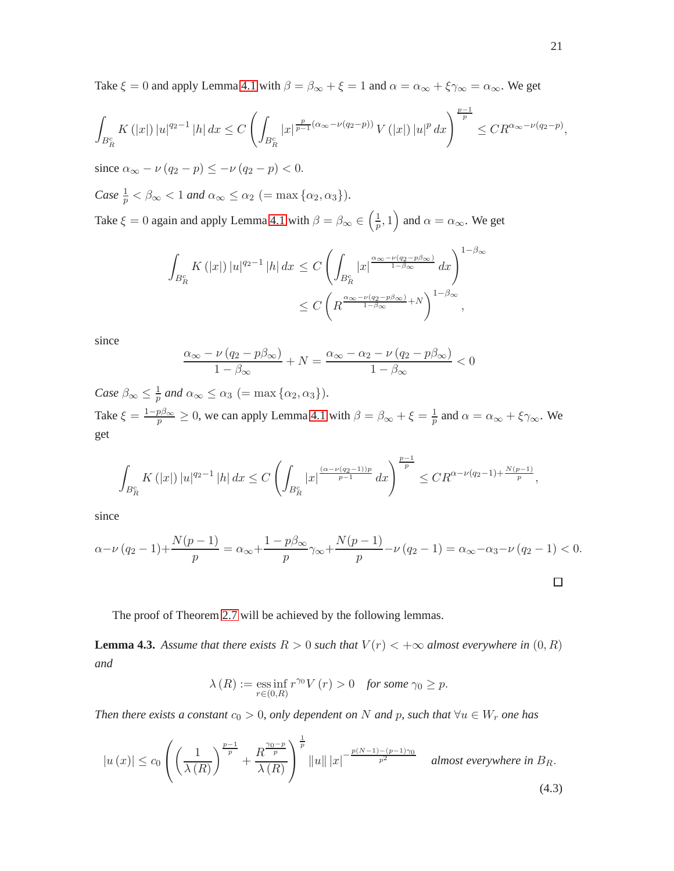Take  $\xi = 0$  and apply Lemma [4.1](#page-13-3) with  $\beta = \beta_{\infty} + \xi = 1$  and  $\alpha = \alpha_{\infty} + \xi \gamma_{\infty} = \alpha_{\infty}$ . We get

$$
\int_{B_R^c} K(|x|) |u|^{q_2-1} |h| dx \le C \left( \int_{B_R^c} |x|^{\frac{p}{p-1}(\alpha_\infty - \nu(q_2 - p))} V(|x|) |u|^p dx \right)^{\frac{p-1}{p}} \le C R^{\alpha_\infty - \nu(q_2 - p)},
$$

since  $\alpha_{\infty} - \nu (q_2 - p) \leq -\nu (q_2 - p) < 0.$ 

Case 
$$
\frac{1}{p} < \beta_{\infty} < 1
$$
 and  $\alpha_{\infty} \leq \alpha_2$  (= max { $\alpha_2, \alpha_3$ }).

Take  $\xi = 0$  again and apply Lemma [4.1](#page-13-3) with  $\beta = \beta_{\infty} \in \left(\frac{1}{n}\right)$  $(\frac{1}{p}, 1)$  and  $\alpha = \alpha_{\infty}$ . We get

$$
\int_{B_R^c} K(|x|) |u|^{q_2-1} |h| dx \le C \left( \int_{B_R^c} |x|^{\frac{\alpha_\infty - \nu(q_2 - p\beta_\infty)}{1 - \beta_\infty}} dx \right)^{1 - \beta_\infty}
$$
  

$$
\le C \left( R^{\frac{\alpha_\infty - \nu(q_2 - p\beta_\infty)}{1 - \beta_\infty} + N} \right)^{1 - \beta_\infty},
$$

since

$$
\frac{\alpha_{\infty} - \nu (q_2 - p\beta_{\infty})}{1 - \beta_{\infty}} + N = \frac{\alpha_{\infty} - \alpha_2 - \nu (q_2 - p\beta_{\infty})}{1 - \beta_{\infty}} < 0
$$

*Case*  $\beta_{\infty} \leq \frac{1}{p}$  $\frac{1}{p}$  and  $\alpha_{\infty} \leq \alpha_3$  (= max { $\alpha_2, \alpha_3$ }). Take  $\xi = \frac{1-p\beta_{\infty}}{p} \ge 0$ , we can apply Lemma [4.1](#page-13-3) with  $\beta = \beta_{\infty} + \xi = \frac{1}{p}$  $\frac{1}{p}$  and  $\alpha = \alpha_{\infty} + \xi \gamma_{\infty}$ . We get

$$
\int_{B_R^c} K(|x|) |u|^{q_2-1} |h| dx \leq C \left( \int_{B_R^c} |x|^{\frac{(\alpha-\nu(q_2-1))p}{p-1}} dx \right)^{\frac{p-1}{p}} \leq C R^{\alpha-\nu(q_2-1)+\frac{N(p-1)}{p}},
$$

since

$$
\alpha - \nu (q_2 - 1) + \frac{N(p - 1)}{p} = \alpha_{\infty} + \frac{1 - p\beta_{\infty}}{p} \gamma_{\infty} + \frac{N(p - 1)}{p} - \nu (q_2 - 1) = \alpha_{\infty} - \alpha_3 - \nu (q_2 - 1) < 0.
$$

The proof of Theorem [2.7](#page-8-0) will be achieved by the following lemmas.

<span id="page-20-1"></span>**Lemma 4.3.** Assume that there exists  $R > 0$  such that  $V(r) < +\infty$  almost everywhere in  $(0, R)$ *and*

$$
\lambda(R) := \operatorname*{ess\,inf}_{r \in (0,R)} r^{\gamma_0} V(r) > 0 \quad \text{for some } \gamma_0 \ge p.
$$

*Then there exists a constant*  $c_0 > 0$ *, only dependent on* N *and* p, such that  $\forall u \in W_r$  one has

<span id="page-20-0"></span>
$$
|u(x)| \leq c_0 \left( \left( \frac{1}{\lambda(R)} \right)^{\frac{p-1}{p}} + \frac{R^{\frac{\gamma_0 - p}{p}}}{\lambda(R)} \right)^{\frac{1}{p}} ||u|| |x|^{-\frac{p(N-1) - (p-1)\gamma_0}{p^2}} \quad \text{almost everywhere in } B_R. \tag{4.3}
$$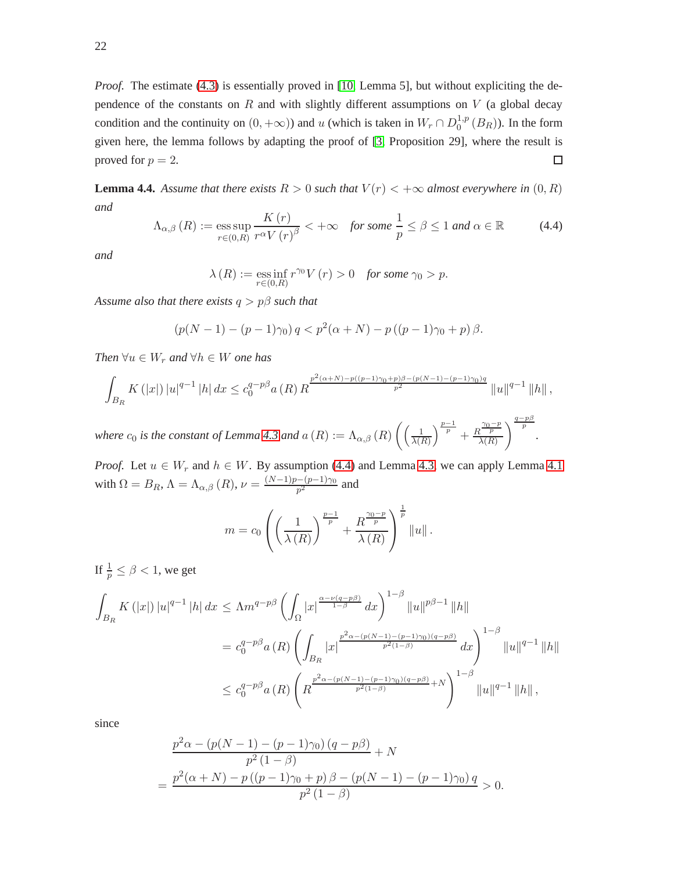*Proof.* The estimate [\(4.3\)](#page-20-0) is essentially proved in [\[10,](#page-30-4) Lemma 5], but without expliciting the dependence of the constants on R and with slightly different assumptions on V (a global decay condition and the continuity on  $(0, +\infty)$ ) and u (which is taken in  $W_r \cap D_0^{1,p}$  $_0^{1,p}(B_R)$ ). In the form given here, the lemma follows by adapting the proof of [\[3,](#page-29-0) Proposition 29], where the result is proved for  $p = 2$ .  $\Box$ 

<span id="page-21-1"></span>**Lemma 4.4.** Assume that there exists  $R > 0$  such that  $V(r) < +\infty$  almost everywhere in  $(0, R)$ *and*

<span id="page-21-0"></span>
$$
\Lambda_{\alpha,\beta}(R) := \underset{r \in (0,R)}{\text{ess sup}} \frac{K(r)}{r^{\alpha}V(r)^{\beta}} < +\infty \quad \text{for some } \frac{1}{p} \le \beta \le 1 \text{ and } \alpha \in \mathbb{R} \tag{4.4}
$$

*and*

$$
\lambda(R) := \operatorname*{ess\,inf}_{r \in (0,R)} r^{\gamma_0} V(r) > 0 \quad \text{for some } \gamma_0 > p.
$$

*Assume also that there exists* q > pβ *such that*

$$
(p(N-1)-(p-1)\gamma_0) q < p^2(\alpha+N) - p((p-1)\gamma_0 + p)\beta.
$$

*Then*  $\forall u \in W_r$  *and*  $\forall h \in W$  *one has* 

$$
\int_{B_R} K(|x|) |u|^{q-1} |h| dx \leq c_0^{q-p\beta} a(R) R^{\frac{p^2(\alpha+N)-p((p-1)\gamma_0+p)\beta-(p(N-1)-(p-1)\gamma_0)q}{p^2}} ||u||^{q-1} ||h||,
$$

where  $c_0$  is the constant of Lemma [4.3](#page-20-1) and  $a(R) := \Lambda_{\alpha,\beta}(R) \left( \frac{1}{\lambda(R)} \right)$  $\frac{1}{\lambda(R)}\right)^{\frac{p-1}{p}} + \frac{R^{\frac{\gamma_0-p}{p}}}{\lambda(R)}$  $\lambda(R)$  $\bigg\{\frac{q-p\beta}{p}$ .

*Proof.* Let  $u \in W_r$  and  $h \in W$ . By assumption [\(4.4\)](#page-21-0) and Lemma [4.3,](#page-20-1) we can apply Lemma [4.1](#page-13-3) with  $\Omega = B_R$ ,  $\Lambda = \Lambda_{\alpha,\beta} (R)$ ,  $\nu = \frac{(N-1)p - (p-1)\gamma_0}{p^2}$  $\frac{p-p-1}{p^2}$  and

$$
m = c_0 \left( \left( \frac{1}{\lambda(R)} \right)^{\frac{p-1}{p}} + \frac{R^{\frac{\gamma_0 - p}{p}}}{\lambda(R)} \right)^{\frac{1}{p}} \|u\|.
$$

If  $\frac{1}{p} \le \beta < 1$ , we get

$$
\int_{B_R} K(|x|) |u|^{q-1} |h| dx \leq \Lambda m^{q-p\beta} \left( \int_{\Omega} |x|^{\frac{\alpha - \nu(q-p\beta)}{1-\beta}} dx \right)^{1-\beta} ||u||^{p\beta - 1} ||h||
$$
  
\n
$$
= c_0^{q-p\beta} a(R) \left( \int_{B_R} |x|^{\frac{p^2 \alpha - (p(N-1) - (p-1)\gamma_0)(q-p\beta)}{p^2(1-\beta)}} dx \right)^{1-\beta} ||u||^{q-1} ||h||
$$
  
\n
$$
\leq c_0^{q-p\beta} a(R) \left( R^{\frac{p^2 \alpha - (p(N-1) - (p-1)\gamma_0)(q-p\beta)}{p^2(1-\beta)} + N} \right)^{1-\beta} ||u||^{q-1} ||h||,
$$

since

$$
\frac{p^2\alpha - (p(N-1) - (p-1)\gamma_0) (q - p\beta)}{p^2 (1 - \beta)} + N
$$
  
= 
$$
\frac{p^2(\alpha + N) - p((p-1)\gamma_0 + p)\beta - (p(N-1) - (p-1)\gamma_0) q}{p^2 (1 - \beta)} > 0.
$$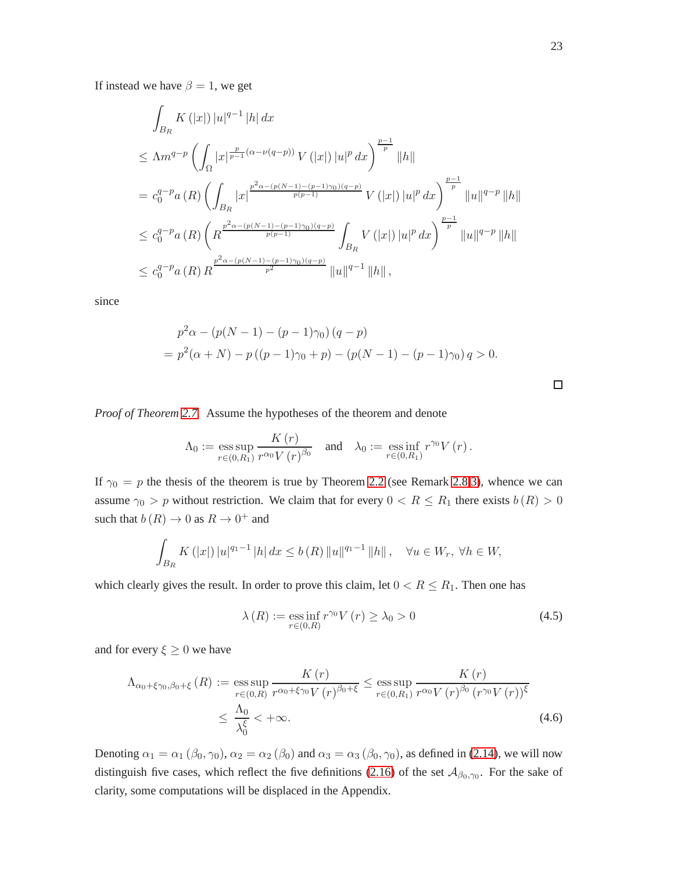If instead we have  $\beta = 1$ , we get

$$
\int_{B_R} K(|x|) |u|^{q-1} |h| dx
$$
\n
$$
\leq \Lambda m^{q-p} \left( \int_{\Omega} |x|^{\frac{p}{p-1}(\alpha - \nu(q-p))} V(|x|) |u|^p dx \right)^{\frac{p-1}{p}} ||h||
$$
\n
$$
= c_0^{q-p} a(R) \left( \int_{B_R} |x|^{\frac{p^2 \alpha - (p(N-1) - (p-1)\gamma_0)(q-p)}{p(p-1)}} V(|x|) |u|^p dx \right)^{\frac{p-1}{p}} ||u||^{q-p} ||h||
$$
\n
$$
\leq c_0^{q-p} a(R) \left( R^{\frac{p^2 \alpha - (p(N-1) - (p-1)\gamma_0)(q-p)}{p(p-1)}} \int_{B_R} V(|x|) |u|^p dx \right)^{\frac{p-1}{p}} ||u||^{q-p} ||h||
$$
\n
$$
\leq c_0^{q-p} a(R) R^{\frac{p^2 \alpha - (p(N-1) - (p-1)\gamma_0)(q-p)}{p^2}} ||u||^{q-1} ||h||,
$$

since

$$
p^{2} \alpha - (p(N - 1) - (p - 1)\gamma_{0}) (q - p)
$$
  
=  $p^{2} (\alpha + N) - p ((p - 1)\gamma_{0} + p) - (p(N - 1) - (p - 1)\gamma_{0}) q > 0.$ 

*Proof of Theorem [2.7.](#page-8-0)* Assume the hypotheses of the theorem and denote

$$
\Lambda_0 := \operatorname*{ess\,sup}_{r\in(0,R_1)} \frac{K(r)}{r^{\alpha_0}V(r)^{\beta_0}} \quad \text{and} \quad \lambda_0 := \operatorname*{ess\,inf}_{r\in(0,R_1)} r^{\gamma_0}V(r) \, .
$$

If  $\gamma_0 = p$  the thesis of the theorem is true by Theorem [2.2](#page-4-0) (see Remark [2.8](#page-8-1)[.3\)](#page-8-2), whence we can assume  $\gamma_0 > p$  without restriction. We claim that for every  $0 < R \le R_1$  there exists  $b(R) > 0$ such that  $b(R) \to 0$  as  $R \to 0^+$  and

$$
\int_{B_R} K(|x|) |u|^{q_1-1} |h| dx \le b(R) ||u||^{q_1-1} ||h||, \quad \forall u \in W_r, \ \forall h \in W,
$$

which clearly gives the result. In order to prove this claim, let  $0 < R \le R_1$ . Then one has

<span id="page-22-1"></span>
$$
\lambda(R) := \underset{r \in (0,R)}{\text{ess inf}} r^{\gamma_0} V(r) \ge \lambda_0 > 0
$$
\n(4.5)

and for every  $\xi \geq 0$  we have

<span id="page-22-0"></span>
$$
\Lambda_{\alpha_0 + \xi\gamma_0, \beta_0 + \xi} (R) := \operatorname*{ess\,sup}_{r \in (0,R)} \frac{K(r)}{r^{\alpha_0 + \xi\gamma_0} V(r)^{\beta_0 + \xi}} \le \operatorname*{ess\,sup}_{r \in (0,R_1)} \frac{K(r)}{r^{\alpha_0} V(r)^{\beta_0} (r^{\gamma_0} V(r))^{\xi}} \le \frac{\Lambda_0}{\lambda_0^{\xi}} < +\infty.
$$
\n(4.6)

Denoting  $\alpha_1 = \alpha_1 (\beta_0, \gamma_0)$ ,  $\alpha_2 = \alpha_2 (\beta_0)$  and  $\alpha_3 = \alpha_3 (\beta_0, \gamma_0)$ , as defined in [\(2.14\)](#page-5-6), we will now distinguish five cases, which reflect the five definitions [\(2.16\)](#page-6-3) of the set  $A_{\beta_0,\gamma_0}$ . For the sake of clarity, some computations will be displaced in the Appendix.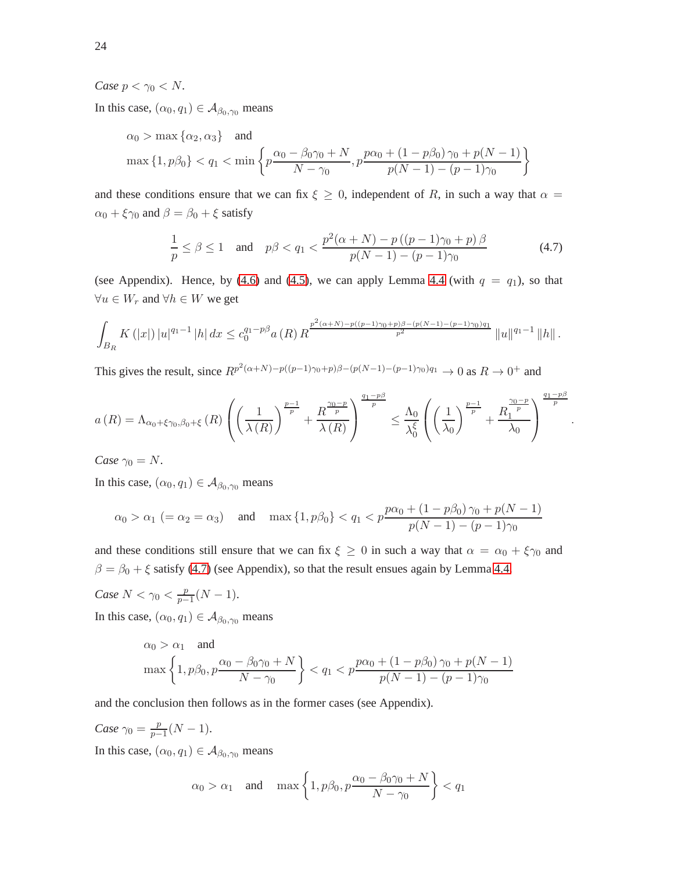### *Case*  $p < \gamma_0 < N$ *.*

In this case,  $(\alpha_0, q_1) \in A_{\beta_0, \gamma_0}$  means

$$
\alpha_0 > \max \{\alpha_2, \alpha_3\}
$$
 and  
\n $\max \{1, p\beta_0\} < q_1 < \min \left\{p \frac{\alpha_0 - \beta_0\gamma_0 + N}{N - \gamma_0}, p \frac{p\alpha_0 + (1 - p\beta_0)\gamma_0 + p(N - 1)}{p(N - 1) - (p - 1)\gamma_0}\right\}$ 

and these conditions ensure that we can fix  $\xi \geq 0$ , independent of R, in such a way that  $\alpha =$  $\alpha_0 + \xi \gamma_0$  and  $\beta = \beta_0 + \xi$  satisfy

<span id="page-23-0"></span>
$$
\frac{1}{p} \le \beta \le 1 \quad \text{and} \quad p\beta < q_1 < \frac{p^2(\alpha + N) - p\left((p - 1)\gamma_0 + p\right)\beta}{p(N - 1) - (p - 1)\gamma_0} \tag{4.7}
$$

(see Appendix). Hence, by [\(4.6\)](#page-22-0) and [\(4.5\)](#page-22-1), we can apply Lemma [4.4](#page-21-1) (with  $q = q_1$ ), so that  $\forall u \in W_r$  and  $\forall h \in W$  we get

$$
\int_{B_R} K(|x|) |u|^{q_1-1} |h| dx \leq c_0^{q_1-p\beta} a(R) R^{\frac{p^2(\alpha+N)-p((p-1)\gamma_0+p)\beta-(p(N-1)-(p-1)\gamma_0)q_1}{p^2}} \|u\|^{q_1-1} \|h\|.
$$

This gives the result, since  $R^{p^2(\alpha+N)-p((p-1)\gamma_0+p)\beta-(p(N-1)-(p-1)\gamma_0)q_1} \to 0$  as  $R \to 0^+$  and

$$
a(R) = \Lambda_{\alpha_0 + \xi\gamma_0, \beta_0 + \xi}(R) \left( \left( \frac{1}{\lambda(R)} \right)^{\frac{p-1}{p}} + \frac{R^{\frac{\gamma_0 - p}{p}}}{\lambda(R)} \right)^{\frac{q_1 - p\beta}{p}} \leq \frac{\Lambda_0}{\lambda_0^{\xi}} \left( \left( \frac{1}{\lambda_0} \right)^{\frac{p-1}{p}} + \frac{R^{\frac{\gamma_0 - p}{p}}}{\lambda_0} \right)^{\frac{q_1 - p\beta}{p}}
$$

.

*Case*  $\gamma_0 = N$ .

In this case,  $(\alpha_0, q_1) \in A_{\beta_0, \gamma_0}$  means

$$
\alpha_0 > \alpha_1 \ (= \alpha_2 = \alpha_3)
$$
 and  $\max\{1, p\beta_0\} < q_1 < p \frac{p\alpha_0 + (1 - p\beta_0)\gamma_0 + p(N - 1)}{p(N - 1) - (p - 1)\gamma_0}$ 

and these conditions still ensure that we can fix  $\xi \ge 0$  in such a way that  $\alpha = \alpha_0 + \xi \gamma_0$  and  $\beta = \beta_0 + \xi$  satisfy [\(4.7\)](#page-23-0) (see Appendix), so that the result ensues again by Lemma [4.4.](#page-21-1)

*Case*  $N < \gamma_0 < \frac{p}{p-1}$  $\frac{p}{p-1}(N-1).$ In this case,  $(\alpha_0, q_1) \in A_{\beta_0, \gamma_0}$  means

$$
\alpha_0 > \alpha_1 \quad \text{and}
$$
\n
$$
\max\left\{1, p\beta_0, p\frac{\alpha_0 - \beta_0\gamma_0 + N}{N - \gamma_0}\right\} < q_1 < p\frac{p\alpha_0 + (1 - p\beta_0)\gamma_0 + p(N - 1)}{p(N - 1) - (p - 1)\gamma_0}
$$

and the conclusion then follows as in the former cases (see Appendix).

*Case*  $\gamma_0 = \frac{p}{p-1}$  $\frac{p}{p-1}(N-1).$ In this case,  $(\alpha_0, q_1) \in A_{\beta_0, \gamma_0}$  means

$$
\alpha_0 > \alpha_1
$$
 and  $\max\left\{1, p\beta_0, p\frac{\alpha_0 - \beta_0\gamma_0 + N}{N - \gamma_0}\right\} < q_1$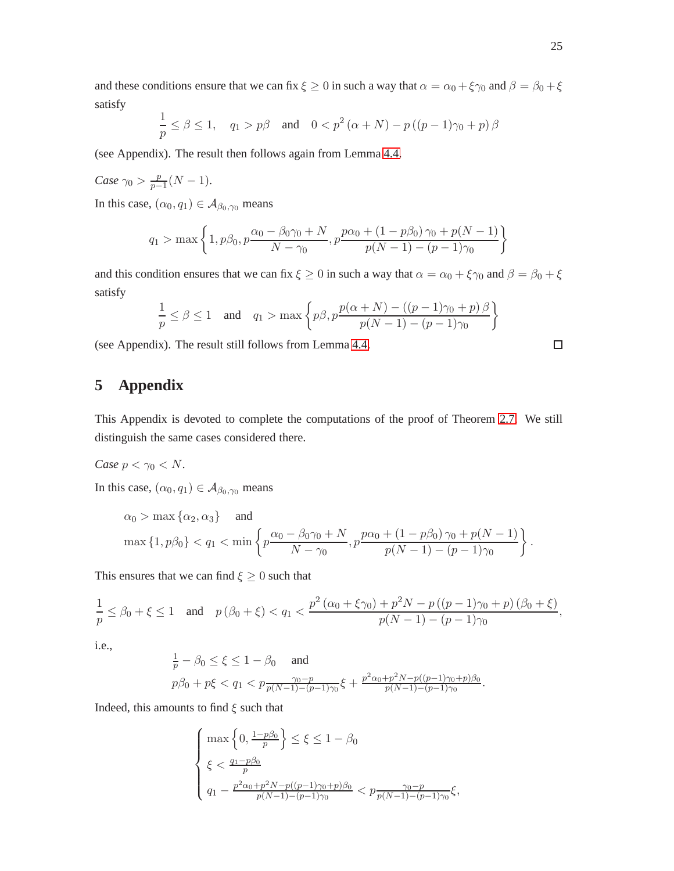and these conditions ensure that we can fix  $\xi \ge 0$  in such a way that  $\alpha = \alpha_0 + \xi \gamma_0$  and  $\beta = \beta_0 + \xi$ satisfy

$$
\frac{1}{p} \le \beta \le 1, \quad q_1 > p\beta \quad \text{and} \quad 0 < p^2 \left( \alpha + N \right) - p \left( (p - 1)\gamma_0 + p \right) \beta
$$

(see Appendix). The result then follows again from Lemma [4.4.](#page-21-1)

Case 
$$
\gamma_0 > \frac{p}{p-1}(N-1)
$$
.

In this case,  $(\alpha_0, q_1) \in A_{\beta_0, \gamma_0}$  means

$$
q_1 > \max\left\{1, p\beta_0, p\frac{\alpha_0 - \beta_0\gamma_0 + N}{N - \gamma_0}, p\frac{p\alpha_0 + (1 - p\beta_0)\gamma_0 + p(N - 1)}{p(N - 1) - (p - 1)\gamma_0}\right\}
$$

and this condition ensures that we can fix  $\xi \ge 0$  in such a way that  $\alpha = \alpha_0 + \xi \gamma_0$  and  $\beta = \beta_0 + \xi$ satisfy

$$
\frac{1}{p} \leq \beta \leq 1 \quad \text{and} \quad q_1 > \max \left\{ p\beta, p\frac{p(\alpha+N) - \left((p-1)\gamma_0 + p\right)\beta}{p(N-1) - (p-1)\gamma_0} \right\}
$$

(see Appendix). The result still follows from Lemma [4.4.](#page-21-1)

# **5 Appendix**

This Appendix is devoted to complete the computations of the proof of Theorem [2.7.](#page-8-0) We still distinguish the same cases considered there.

Case 
$$
p < \gamma_0 < N
$$
.

In this case,  $(\alpha_0, q_1) \in A_{\beta_0, \gamma_0}$  means

$$
\alpha_0 > \max\left\{\alpha_2, \alpha_3\right\} \quad \text{and}
$$
\n
$$
\max\left\{1, p\beta_0\right\} < q_1 < \min\left\{p\frac{\alpha_0 - \beta_0\gamma_0 + N}{N - \gamma_0}, p\frac{p\alpha_0 + (1 - p\beta_0)\gamma_0 + p(N - 1)}{p(N - 1) - (p - 1)\gamma_0}\right\}.
$$

This ensures that we can find  $\xi \geq 0$  such that

$$
\frac{1}{p} \le \beta_0 + \xi \le 1 \quad \text{and} \quad p(\beta_0 + \xi) < q_1 < \frac{p^2(\alpha_0 + \xi\gamma_0) + p^2N - p((p-1)\gamma_0 + p)(\beta_0 + \xi)}{p(N-1) - (p-1)\gamma_0},
$$

i.e.,

$$
\frac{1}{p}-\beta_0\leq\xi\leq 1-\beta_0\quad\text{ and }\quad\\p\beta_0+p\xi< q_1
$$

Indeed, this amounts to find  $\xi$  such that

$$
\left\{\begin{aligned} & \max\left\{0,\tfrac{1-p\beta_0}{p}\right\} \leq \xi \leq 1-\beta_0\\ & \xi < \tfrac{q_1-p\beta_0}{p}\\ & q_1 - \tfrac{p^2\alpha_0+p^2N-p((p-1)\gamma_0+p)\beta_0}{p(N-1)-(p-1)\gamma_0} < p\frac{\gamma_0-p}{p(N-1)-(p-1)\gamma_0}\xi, \end{aligned}\right.
$$

 $\Box$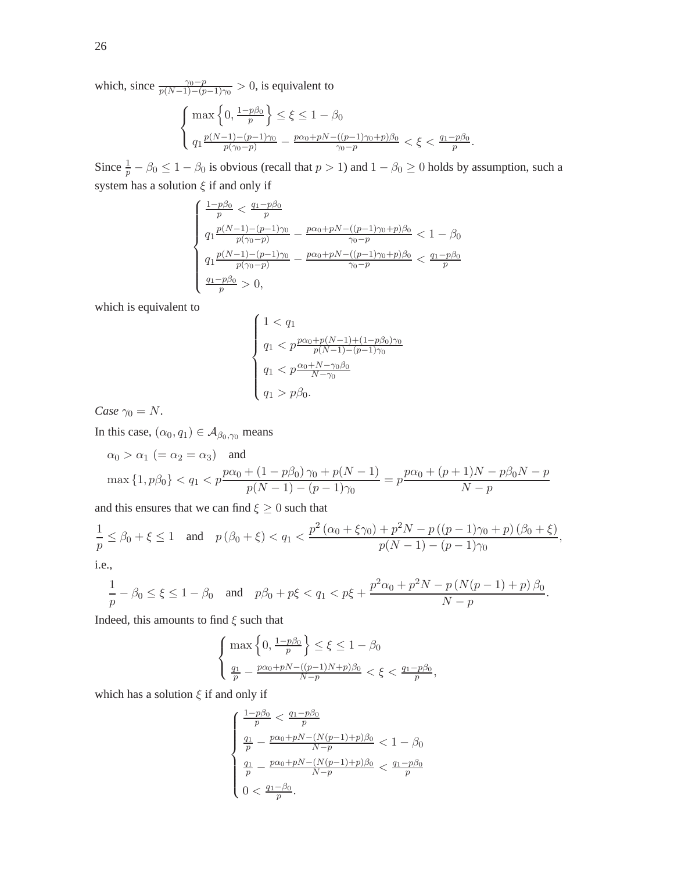which, since  $\frac{\gamma_0 - p}{p(N-1) - (p-1)\gamma_0} > 0$ , is equivalent to

$$
\begin{cases} \max\left\{0, \frac{1-p\beta_0}{p}\right\} \le \xi \le 1-\beta_0\\ q_1 \frac{p(N-1)-(p-1)\gamma_0}{p(\gamma_0-p)} - \frac{p\alpha_0 + pN - ((p-1)\gamma_0+p)\beta_0}{\gamma_0-p} < \xi < \frac{q_1-p\beta_0}{p}.\end{cases}
$$

Since  $\frac{1}{p} - \beta_0 \le 1 - \beta_0$  is obvious (recall that  $p > 1$ ) and  $1 - \beta_0 \ge 0$  holds by assumption, such a system has a solution  $\xi$  if and only if

$$
\begin{cases} \frac{1-p\beta_0}{p} < \frac{q_1-p\beta_0}{p} \\ q_1 \frac{p(N-1)-(p-1)\gamma_0}{p(\gamma_0-p)} - \frac{p\alpha_0+pN-((p-1)\gamma_0+p)\beta_0}{\gamma_0-p} < 1-\beta_0 \\ q_1 \frac{p(N-1)-(p-1)\gamma_0}{p(\gamma_0-p)} - \frac{p\alpha_0+pN-((p-1)\gamma_0+p)\beta_0}{\gamma_0-p} < \frac{q_1-p\beta_0}{p} \\ \frac{q_1-p\beta_0}{p} > 0, \end{cases}
$$

which is equivalent to

$$
\begin{cases} 1 < q_1 \\ q_1 < p \frac{p\alpha_0 + p(N-1) + (1 - p\beta_0)\gamma_0}{p(N-1) - (p-1)\gamma_0} \\ q_1 < p \frac{\alpha_0 + N - \gamma_0 \beta_0}{N - \gamma_0} \\ q_1 > p\beta_0. \end{cases}
$$

*Case*  $\gamma_0 = N$ .

In this case,  $(\alpha_0, q_1) \in A_{\beta_0, \gamma_0}$  means

$$
\alpha_0 > \alpha_1
$$
 (=  $\alpha_2 = \alpha_3$ ) and  
\n
$$
\max\{1, p\beta_0\} < q_1 < p \frac{p\alpha_0 + (1 - p\beta_0)\gamma_0 + p(N - 1)}{p(N - 1) - (p - 1)\gamma_0} = p \frac{p\alpha_0 + (p + 1)N - p\beta_0N - p}{N - p}
$$

and this ensures that we can find  $\xi \geq 0$  such that

$$
\frac{1}{p} \le \beta_0 + \xi \le 1 \quad \text{and} \quad p(\beta_0 + \xi) < q_1 < \frac{p^2(\alpha_0 + \xi\gamma_0) + p^2N - p((p-1)\gamma_0 + p)(\beta_0 + \xi)}{p(N-1) - (p-1)\gamma_0},
$$
\ni.e.,

$$
\frac{1}{p} - \beta_0 \le \xi \le 1 - \beta_0 \quad \text{and} \quad p\beta_0 + p\xi < q_1 < p\xi + \frac{p^2\alpha_0 + p^2N - p\left(N(p-1) + p\right)\beta_0}{N - p}.
$$

Indeed, this amounts to find  $\xi$  such that

$$
\left\{\begin{aligned} \max\left\{0,\tfrac{1-p\beta_0}{p}\right\} &\leq \xi \leq 1-\beta_0\\ \tfrac{q_1}{p}-\tfrac{p\alpha_0+pN-((p-1)N+p)\beta_0}{N-p}&<\xi <\tfrac{q_1-p\beta_0}{p}, \end{aligned}\right.
$$

which has a solution  $\xi$  if and only if

$$
\begin{cases} \frac{1-p\beta_0}{p} < \frac{q_1-p\beta_0}{p} \\ \frac{q_1}{p} - \frac{p\alpha_0 + pN - (N(p-1) + p)\beta_0}{N-p} < 1 - \beta_0 \\ \frac{q_1}{p} - \frac{p\alpha_0 + pN - (N(p-1) + p)\beta_0}{N-p} < \frac{q_1 - p\beta_0}{p} \\ 0 < \frac{q_1 - \beta_0}{p} . \end{cases}
$$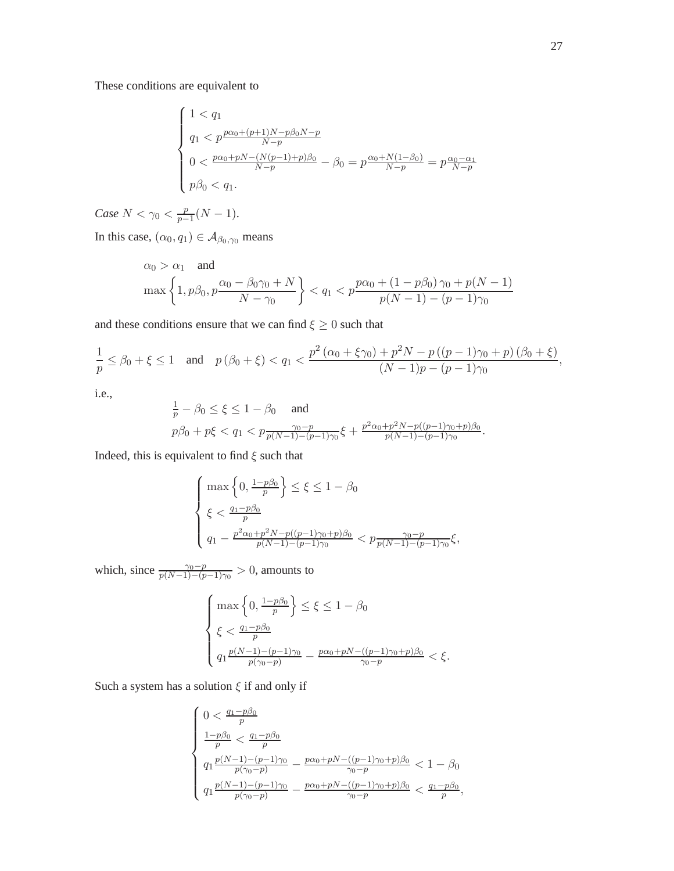These conditions are equivalent to

$$
\begin{cases}\n1 < q_1 \\
q_1 < p \frac{p\alpha_0 + (p+1)N - p\beta_0 N - p}{N - p} \\
0 < \frac{p\alpha_0 + pN - (N(p-1) + p)\beta_0}{N - p} - \beta_0 = p \frac{\alpha_0 + N(1 - \beta_0)}{N - p} = p \frac{\alpha_0 - \alpha_1}{N - p} \\
p\beta_0 < q_1.\n\end{cases}
$$

*Case*  $N < \gamma_0 < \frac{p}{p-1}$  $\frac{p}{p-1}(N-1).$ 

In this case,  $(\alpha_0, q_1) \in A_{\beta_0, \gamma_0}$  means

$$
\alpha_0 > \alpha_1 \quad \text{and}
$$
\n
$$
\max\left\{1, p\beta_0, p\frac{\alpha_0 - \beta_0\gamma_0 + N}{N - \gamma_0}\right\} < q_1 < p\frac{p\alpha_0 + (1 - p\beta_0)\gamma_0 + p(N - 1)}{p(N - 1) - (p - 1)\gamma_0}
$$

and these conditions ensure that we can find  $\xi \geq 0$  such that

$$
\frac{1}{p} \le \beta_0 + \xi \le 1 \quad \text{and} \quad p(\beta_0 + \xi) < q_1 < \frac{p^2(\alpha_0 + \xi\gamma_0) + p^2N - p((p-1)\gamma_0 + p)(\beta_0 + \xi)}{(N-1)p - (p-1)\gamma_0},
$$

i.e.,

$$
\frac{1}{p} - \beta_0 \le \xi \le 1 - \beta_0 \quad \text{and}
$$
\n
$$
p\beta_0 + p\xi < q_1 < p\frac{\gamma_0 - p}{p(N-1) - (p-1)\gamma_0} \xi + \frac{p^2\alpha_0 + p^2N - p((p-1)\gamma_0 + p)\beta_0}{p(N-1) - (p-1)\gamma_0}.
$$

Indeed, this is equivalent to find  $\xi$  such that

$$
\begin{cases} \max\left\{0,\frac{1-p\beta_0}{p}\right\} \le \xi \le 1-\beta_0\\ \xi < \frac{q_1-p\beta_0}{p}\\ q_1 - \frac{p^2\alpha_0+p^2N-p((p-1)\gamma_0+p)\beta_0}{p(N-1)-(p-1)\gamma_0} < p\frac{\gamma_0-p}{p(N-1)-(p-1)\gamma_0}\xi, \end{cases}
$$

which, since  $\frac{\gamma_0 - p}{p(N-1) - (p-1)\gamma_0} > 0$ , amounts to

$$
\begin{cases} \max\left\{0, \frac{1-p\beta_0}{p}\right\} \le \xi \le 1-\beta_0\\ \xi < \frac{q_1-p\beta_0}{p}\\ q_1 \frac{p(N-1)-(p-1)\gamma_0}{p(\gamma_0-p)} - \frac{p\alpha_0 + pN - ((p-1)\gamma_0+p)\beta_0}{\gamma_0-p} < \xi. \end{cases}
$$

Such a system has a solution  $\xi$  if and only if

$$
\begin{cases} 0 < \frac{q_1 - p\beta_0}{p} \\ \frac{1 - p\beta_0}{p} < \frac{q_1 - p\beta_0}{p} \\ q_1 \frac{p(N-1) - (p-1)\gamma_0}{p(\gamma_0 - p)} - \frac{p\alpha_0 + pN - ((p-1)\gamma_0 + p)\beta_0}{\gamma_0 - p} < 1 - \beta_0 \\ q_1 \frac{p(N-1) - (p-1)\gamma_0}{p(\gamma_0 - p)} - \frac{p\alpha_0 + pN - ((p-1)\gamma_0 + p)\beta_0}{\gamma_0 - p} < \frac{q_1 - p\beta_0}{p}, \end{cases}
$$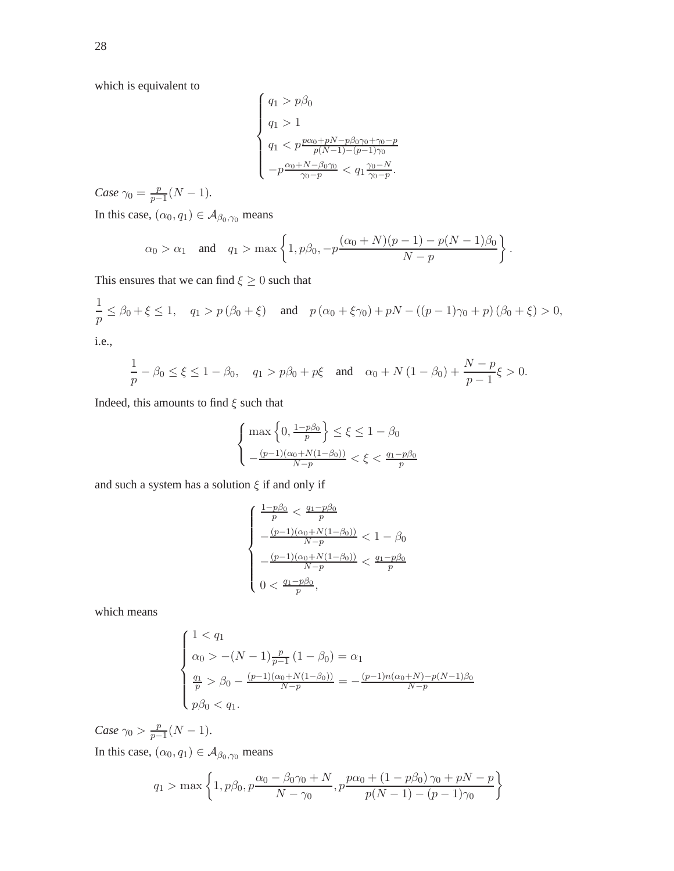which is equivalent to

$$
\left\{ \begin{array}{l} q_1 > p\beta_0 \\ \\ q_1 > 1 \\ q_1 < p\frac{p\alpha_0 + pN - p\beta_0\gamma_0 + \gamma_0 - p}{p(N-1) - (p-1)\gamma_0} \\ \\ -p\frac{\alpha_0 + N - \beta_0\gamma_0}{\gamma_0 - p} < q_1\frac{\gamma_0 - N}{\gamma_0 - p}. \end{array} \right.
$$

*Case*  $\gamma_0 = \frac{p}{p-1}$  $\frac{p}{p-1}(N-1)$ .

In this case,  $(\alpha_0, q_1) \in A_{\beta_0, \gamma_0}$  means

$$
\alpha_0 > \alpha_1
$$
 and  $q_1 > \max \left\{ 1, p\beta_0, -p \frac{(\alpha_0 + N)(p-1) - p(N-1)\beta_0}{N-p} \right\}.$ 

This ensures that we can find  $\xi \geq 0$  such that

$$
\frac{1}{p} \le \beta_0 + \xi \le 1, \quad q_1 > p(\beta_0 + \xi) \quad \text{and} \quad p(\alpha_0 + \xi \gamma_0) + pN - ((p-1)\gamma_0 + p)(\beta_0 + \xi) > 0,
$$
  
i.e.,

$$
\frac{1}{p}-\beta_0\leq\xi\leq 1-\beta_0,\quad q_1>p\beta_0+p\xi\quad\text{and}\quad\alpha_0+N\left(1-\beta_0\right)+\frac{N-p}{p-1}\xi>0.
$$

Indeed, this amounts to find  $\xi$  such that

$$
\begin{cases} \max\left\{0, \frac{1-p\beta_0}{p}\right\} \le \xi \le 1 - \beta_0\\ -\frac{(p-1)(\alpha_0 + N(1-\beta_0))}{N-p} < \xi < \frac{q_1 - p\beta_0}{p} \end{cases}
$$

and such a system has a solution  $\xi$  if and only if

$$
\left\{\begin{array}{l} \frac{1-p\beta_0}{p} < \frac{q_1-p\beta_0}{p} \\[1mm] -\frac{(p-1)(\alpha_0+N(1-\beta_0))}{N-p} < 1-\beta_0 \\[1mm] -\frac{(p-1)(\alpha_0+N(1-\beta_0))}{N-p} < \frac{q_1-p\beta_0}{p} \\[1mm] 0 < \frac{q_1-p\beta_0}{p}, \end{array}\right.
$$

which means

$$
\begin{cases}\n1 < q_1 \\
\alpha_0 > -(N-1)\frac{p}{p-1}(1-\beta_0) = \alpha_1 \\
\frac{q_1}{p} > \beta_0 - \frac{(p-1)(\alpha_0 + N(1-\beta_0))}{N-p} = -\frac{(p-1)n(\alpha_0 + N) - p(N-1)\beta_0}{N-p} \\
p\beta_0 < q_1.\n\end{cases}
$$

*Case*  $\gamma_0 > \frac{p}{p-1}$  $\frac{p}{p-1}(N-1).$ In this case,  $(\alpha_0, q_1) \in A_{\beta_0, \gamma_0}$  means

$$
q_1 > \max \left\{ 1, p\beta_0, p\frac{\alpha_0 - \beta_0\gamma_0 + N}{N - \gamma_0}, p\frac{p\alpha_0 + (1 - p\beta_0)\gamma_0 + pN - p}{p(N - 1) - (p - 1)\gamma_0} \right\}
$$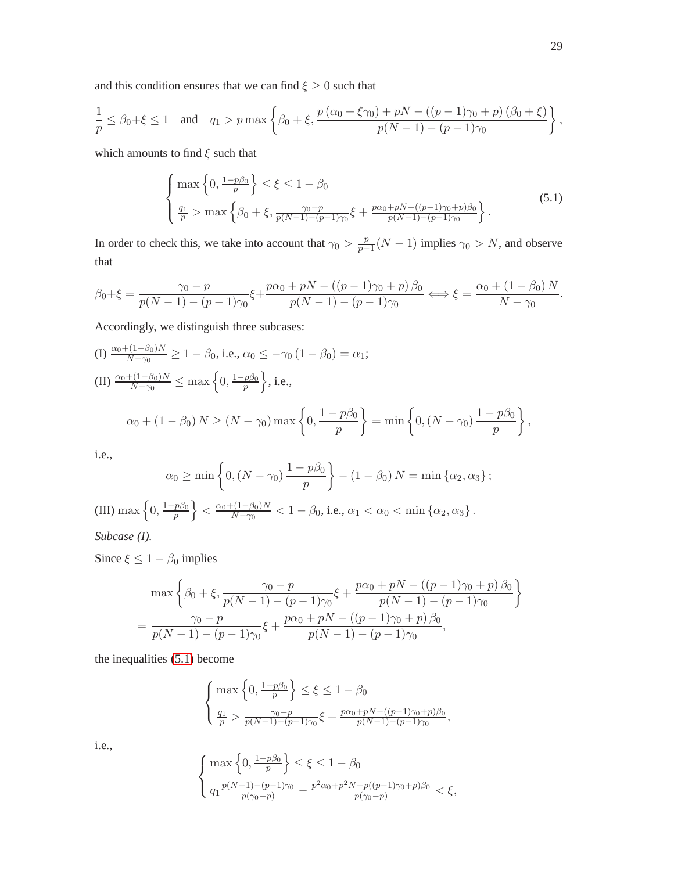and this condition ensures that we can find  $\xi \geq 0$  such that

$$
\frac{1}{p} \le \beta_0 + \xi \le 1 \quad \text{and} \quad q_1 > p \max \left\{ \beta_0 + \xi, \frac{p(\alpha_0 + \xi \gamma_0) + pN - ((p-1)\gamma_0 + p)(\beta_0 + \xi)}{p(N-1) - (p-1)\gamma_0} \right\},
$$

which amounts to find  $\xi$  such that

<span id="page-28-0"></span>
$$
\begin{cases} \max\left\{0, \frac{1-p\beta_0}{p}\right\} \le \xi \le 1 - \beta_0\\ \frac{q_1}{p} > \max\left\{\beta_0 + \xi, \frac{\gamma_0 - p}{p(N-1) - (p-1)\gamma_0} \xi + \frac{p\alpha_0 + pN - ((p-1)\gamma_0 + p)\beta_0}{p(N-1) - (p-1)\gamma_0}\right\}.\end{cases}
$$
(5.1)

In order to check this, we take into account that  $\gamma_0 > \frac{p}{n-1}$  $\frac{p}{p-1}(N-1)$  implies  $\gamma_0 > N$ , and observe that

$$
\beta_0 + \xi = \frac{\gamma_0 - p}{p(N-1) - (p-1)\gamma_0} \xi + \frac{p\alpha_0 + pN - ((p-1)\gamma_0 + p)\beta_0}{p(N-1) - (p-1)\gamma_0} \Longleftrightarrow \xi = \frac{\alpha_0 + (1 - \beta_0)N}{N - \gamma_0}.
$$

Accordingly, we distinguish three subcases:

(I) 
$$
\frac{\alpha_0 + (1 - \beta_0)N}{N - \gamma_0} \ge 1 - \beta_0
$$
, i.e.,  $\alpha_0 \le -\gamma_0 (1 - \beta_0) = \alpha_1$ ;  
\n(II)  $\frac{\alpha_0 + (1 - \beta_0)N}{N - \gamma_0} \le \max \left\{ 0, \frac{1 - p\beta_0}{p} \right\}$ , i.e.,  
\n $\alpha_0 + (1 - \beta_0) N \ge (N - \gamma_0) \max \left\{ 0, \frac{1 - p\beta_0}{p} \right\} = \min \left\{ 0, (N - \gamma_0) \frac{1 - p\beta_0}{p} \right\}$ ,

i.e.,

$$
\alpha_0 \ge \min \left\{ 0, (N - \gamma_0) \frac{1 - p\beta_0}{p} \right\} - (1 - \beta_0) N = \min \left\{ \alpha_2, \alpha_3 \right\};
$$

(III) max  $\left\{0, \frac{1-p\beta_0}{n}\right\}$  $\left\{\frac{p\beta_0}{p}\right\}<\frac{\alpha_0+(1-\beta_0)N}{N-\gamma_0}$  $\frac{-(1-\beta_0)/N}{N-\gamma_0} < 1-\beta_0$ , i.e.,  $\alpha_1 < \alpha_0 < \min{\{\alpha_2, \alpha_3\}}$ .

*Subcase (I).*

Since  $\xi \leq 1 - \beta_0$  implies

$$
\max\left\{\beta_0 + \xi, \frac{\gamma_0 - p}{p(N-1) - (p-1)\gamma_0}\xi + \frac{p\alpha_0 + pN - ((p-1)\gamma_0 + p)\beta_0}{p(N-1) - (p-1)\gamma_0}\right\}
$$

$$
= \frac{\gamma_0 - p}{p(N-1) - (p-1)\gamma_0}\xi + \frac{p\alpha_0 + pN - ((p-1)\gamma_0 + p)\beta_0}{p(N-1) - (p-1)\gamma_0},
$$

the inequalities [\(5.1\)](#page-28-0) become

$$
\begin{cases} \max\left\{0, \frac{1-p\beta_0}{p}\right\} \le \xi \le 1-\beta_0\\ \frac{q_1}{p} > \frac{\gamma_0 - p}{p(N-1) - (p-1)\gamma_0} \xi + \frac{p\alpha_0 + pN - ((p-1)\gamma_0 + p)\beta_0}{p(N-1) - (p-1)\gamma_0}, \end{cases}
$$

i.e.,

$$
\begin{cases} \max\left\{0,\frac{1-p\beta_0}{p}\right\} \le \xi \le 1-\beta_0\\ q_1 \frac{p(N-1)-(p-1)\gamma_0}{p(\gamma_0-p)} - \frac{p^2\alpha_0+p^2N-p((p-1)\gamma_0+p)\beta_0}{p(\gamma_0-p)} < \xi, \end{cases}
$$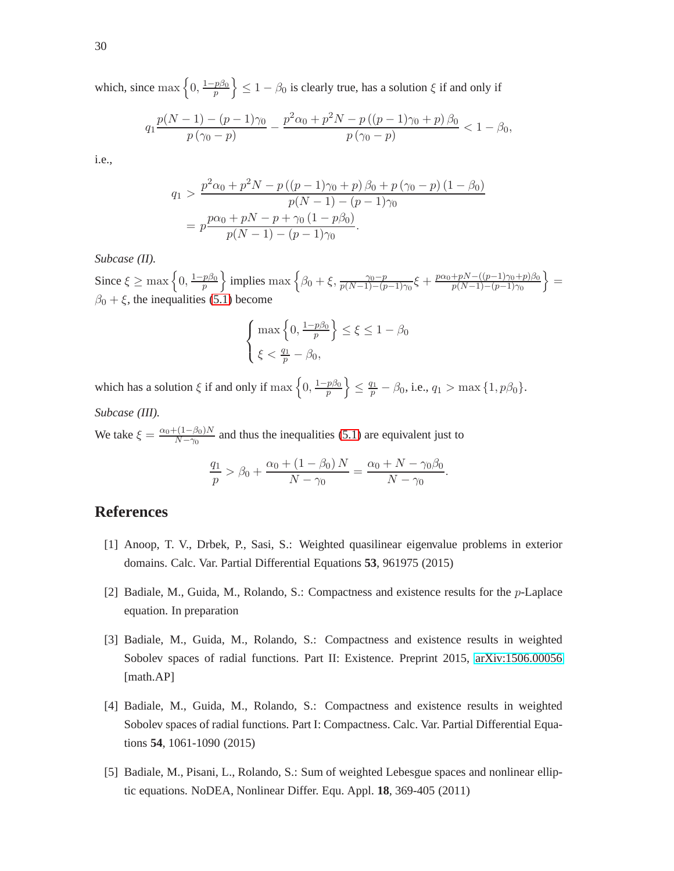which, since max  $\left\{0, \frac{1-p\beta_0}{n}\right\}$  $\left\{\frac{p\beta_0}{p}\right\} \leq 1 - \beta_0$  is clearly true, has a solution  $\xi$  if and only if

$$
q_1 \frac{p(N-1) - (p-1)\gamma_0}{p(\gamma_0 - p)} - \frac{p^2 \alpha_0 + p^2 N - p((p-1)\gamma_0 + p)\beta_0}{p(\gamma_0 - p)} < 1 - \beta_0,
$$

i.e.,

$$
q_1 > \frac{p^2 \alpha_0 + p^2 N - p ((p - 1)\gamma_0 + p) \beta_0 + p (\gamma_0 - p) (1 - \beta_0)}{p(N - 1) - (p - 1)\gamma_0}
$$
  
= 
$$
p \frac{p \alpha_0 + pN - p + \gamma_0 (1 - p \beta_0)}{p(N - 1) - (p - 1)\gamma_0}.
$$

### *Subcase (II).*

Since  $\xi \ge \max\left\{0, \frac{1-p\beta_0}{n}\right\}$  $\left\{\frac{p\beta_0}{p}\right\}$  implies max  $\left\{\beta_0 + \xi, \frac{\gamma_0 - p}{p(N-1) - (p-1)\gamma_0} \xi + \frac{p\alpha_0 + pN - ((p-1)\gamma_0 + p)\beta_0}{p(N-1) - (p-1)\gamma_0}\right\}$  $\frac{pN - ((p-1)\gamma_0 + p)\beta_0}{p(N-1) - (p-1)\gamma_0}$  $\beta_0 + \xi$ , the inequalities [\(5.1\)](#page-28-0) become

$$
\begin{cases} \max\left\{0, \frac{1-p\beta_0}{p}\right\} \le \xi \le 1 - \beta_0\\ \xi < \frac{q_1}{p} - \beta_0, \end{cases}
$$

which has a solution  $\xi$  if and only if  $\max\left\{0,\frac{1-p\beta_0}{n}\right\}$  $\left\{\frac{p\beta_0}{p}\right\}\leq \frac{q_1}{p}-\beta_0 \text{, i.e., } q_1>\max\left\{1,p\beta_0\right\}.$ *Subcase (III).*

We take  $\xi = \frac{\alpha_0 + (1 - \beta_0)N}{N - \gamma_0}$  $\frac{N-\gamma_0}{N-\gamma_0}$  and thus the inequalities [\(5.1\)](#page-28-0) are equivalent just to

$$
\frac{q_1}{p} > \beta_0 + \frac{\alpha_0 + (1 - \beta_0) N}{N - \gamma_0} = \frac{\alpha_0 + N - \gamma_0 \beta_0}{N - \gamma_0}.
$$

### <span id="page-29-2"></span>**References**

- <span id="page-29-4"></span>[1] Anoop, T. V., Drbek, P., Sasi, S.: Weighted quasilinear eigenvalue problems in exterior domains. Calc. Var. Partial Differential Equations **53**, 961975 (2015)
- <span id="page-29-0"></span>[2] Badiale, M., Guida, M., Rolando, S.: Compactness and existence results for the p-Laplace equation. In preparation
- [3] Badiale, M., Guida, M., Rolando, S.: Compactness and existence results in weighted Sobolev spaces of radial functions. Part II: Existence. Preprint 2015, [arXiv:1506.00056](http://arxiv.org/abs/1506.00056) [math.AP]
- <span id="page-29-1"></span>[4] Badiale, M., Guida, M., Rolando, S.: Compactness and existence results in weighted Sobolev spaces of radial functions. Part I: Compactness. Calc. Var. Partial Differential Equations **54**, 1061-1090 (2015)
- <span id="page-29-3"></span>[5] Badiale, M., Pisani, L., Rolando, S.: Sum of weighted Lebesgue spaces and nonlinear elliptic equations. NoDEA, Nonlinear Differ. Equ. Appl. **18**, 369-405 (2011)